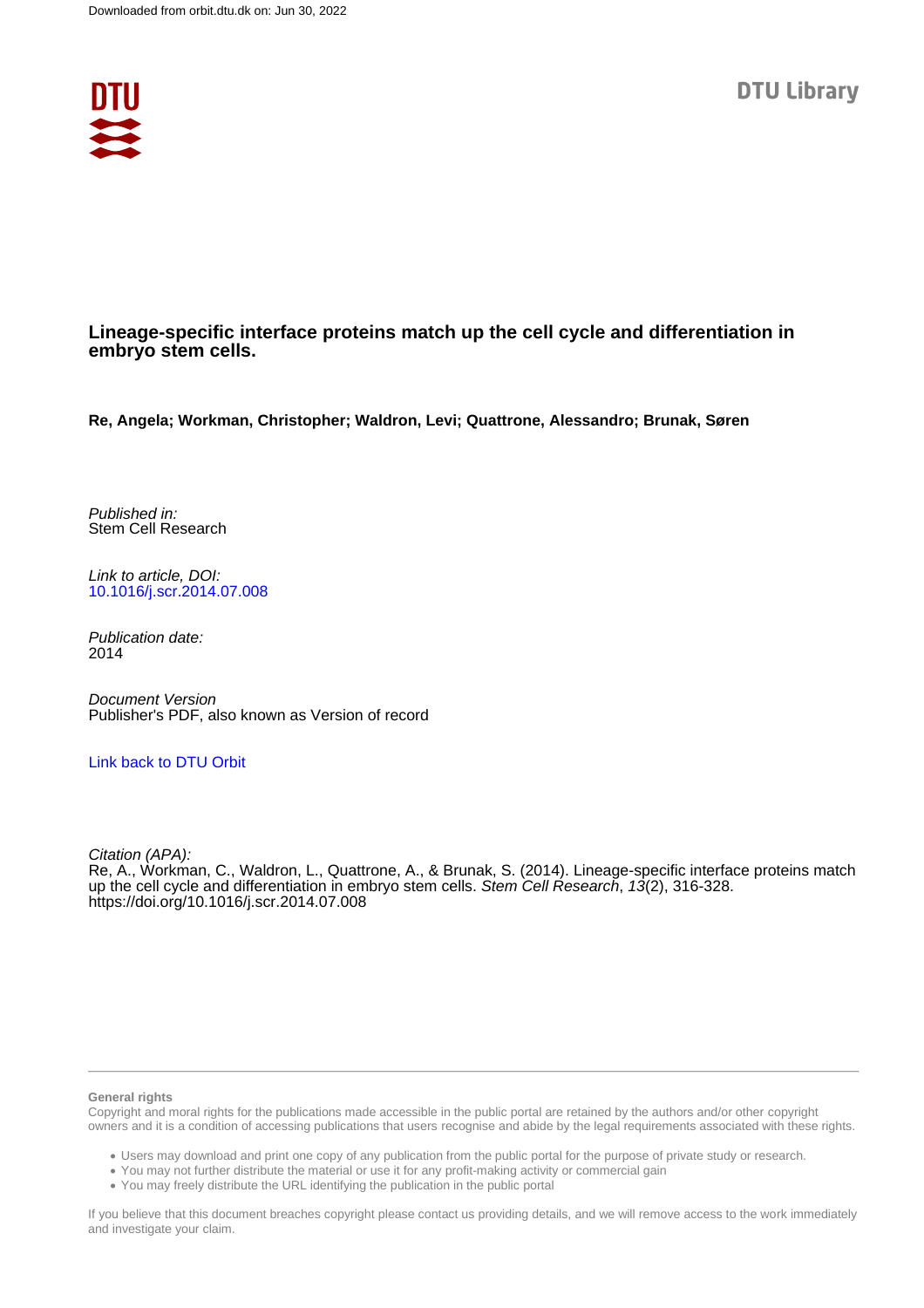

# **Lineage-specific interface proteins match up the cell cycle and differentiation in embryo stem cells.**

**Re, Angela; Workman, Christopher; Waldron, Levi; Quattrone, Alessandro; Brunak, Søren**

Published in: Stem Cell Research

Link to article, DOI: [10.1016/j.scr.2014.07.008](https://doi.org/10.1016/j.scr.2014.07.008)

Publication date: 2014

Document Version Publisher's PDF, also known as Version of record

# [Link back to DTU Orbit](https://orbit.dtu.dk/en/publications/64459cd3-5cc3-4cce-9d21-0e9bd8c31dbd)

Citation (APA): Re, A., Workman, C., Waldron, L., Quattrone, A., & Brunak, S. (2014). Lineage-specific interface proteins match up the cell cycle and differentiation in embryo stem cells. Stem Cell Research, 13(2), 316-328. <https://doi.org/10.1016/j.scr.2014.07.008>

#### **General rights**

Copyright and moral rights for the publications made accessible in the public portal are retained by the authors and/or other copyright owners and it is a condition of accessing publications that users recognise and abide by the legal requirements associated with these rights.

Users may download and print one copy of any publication from the public portal for the purpose of private study or research.

- You may not further distribute the material or use it for any profit-making activity or commercial gain
- You may freely distribute the URL identifying the publication in the public portal

If you believe that this document breaches copyright please contact us providing details, and we will remove access to the work immediately and investigate your claim.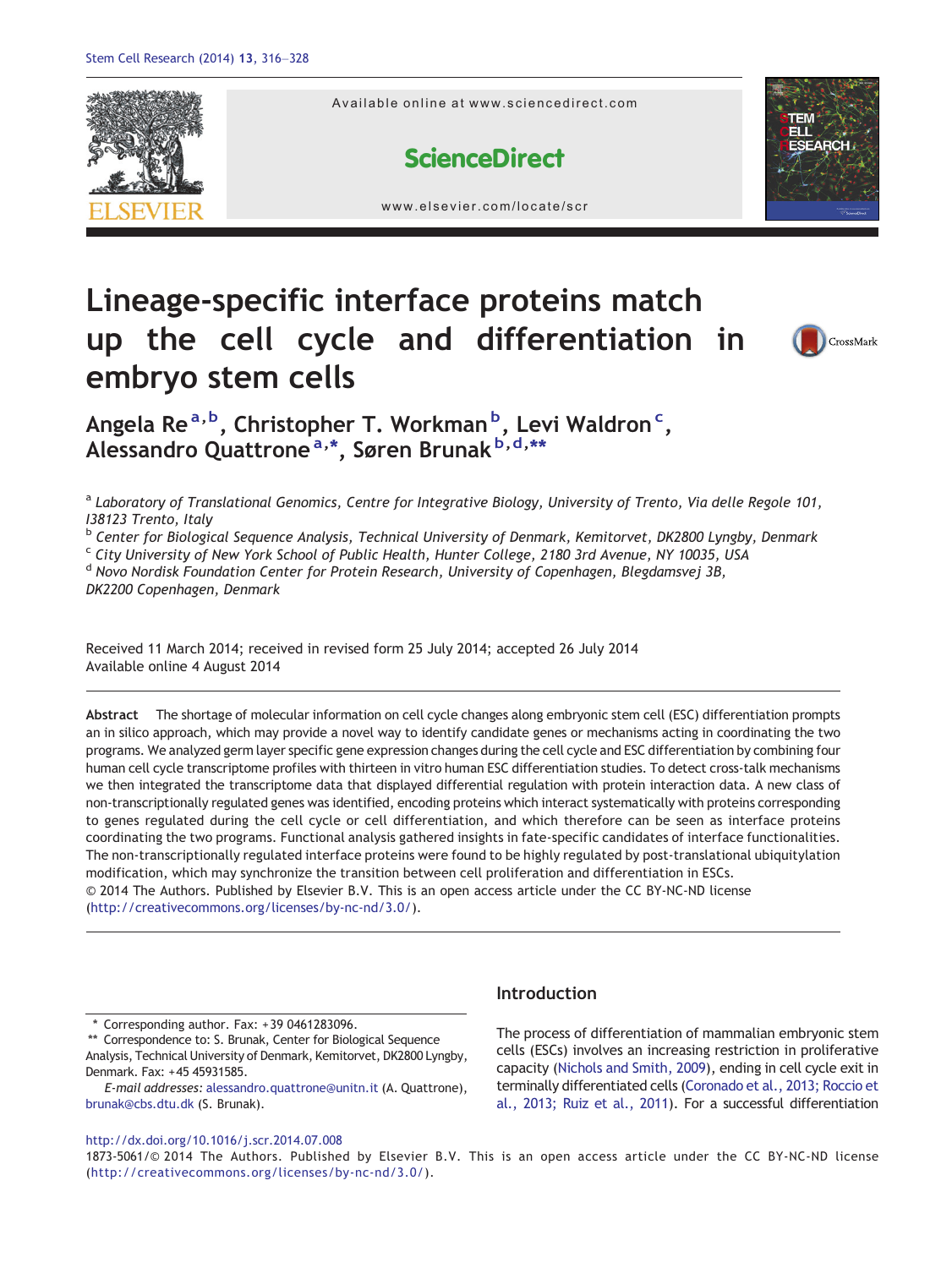





**SEARCH** 

Angela Re $^{\rm a,\,b}$ , Christopher T. Workman $^{\rm b}$ , Levi Waldron $^{\rm c}$ , Alessandro Quattrone<sup>a,\*</sup>, Søren Brunak b, d,\*\*

<sup>a</sup> Laboratory of Translational Genomics, Centre for Integrative Biology, University of Trento, Via delle Regole 101, I38123 Trento, Italy

<sup>b</sup> Center for Biological Sequence Analysis, Technical University of Denmark, Kemitorvet, DK2800 Lyngby, Denmark

<sup>c</sup> City University of New York School of Public Health, Hunter College, 2180 3rd Avenue, NY 10035, USA

<sup>d</sup> Novo Nordisk Foundation Center for Protein Research, University of Copenhagen, Blegdamsvej 3B, DK2200 Copenhagen, Denmark

Received 11 March 2014; received in revised form 25 July 2014; accepted 26 July 2014 Available online 4 August 2014

Abstract The shortage of molecular information on cell cycle changes along embryonic stem cell (ESC) differentiation prompts an in silico approach, which may provide a novel way to identify candidate genes or mechanisms acting in coordinating the two programs. We analyzed germ layer specific gene expression changes during the cell cycle and ESC differentiation by combining four human cell cycle transcriptome profiles with thirteen in vitro human ESC differentiation studies. To detect cross-talk mechanisms we then integrated the transcriptome data that displayed differential regulation with protein interaction data. A new class of non-transcriptionally regulated genes was identified, encoding proteins which interact systematically with proteins corresponding to genes regulated during the cell cycle or cell differentiation, and which therefore can be seen as interface proteins coordinating the two programs. Functional analysis gathered insights in fate-specific candidates of interface functionalities. The non-transcriptionally regulated interface proteins were found to be highly regulated by post-translational ubiquitylation modification, which may synchronize the transition between cell proliferation and differentiation in ESCs. © 2014 The Authors. Published by Elsevier B.V. This is an open access article under the CC BY-NC-ND license (http://creativecommons.org/licenses/by-nc-nd/3.0/).

⁎ Corresponding author. Fax: + 39 0461283096.

⁎⁎ Correspondence to: S. Brunak, Center for Biological Sequence Analysis, Technical University of Denmark, Kemitorvet, DK2800 Lyngby, Denmark. Fax: +45 45931585.

E-mail addresses: [alessandro.quattrone@unitn.it](mailto:alessandro.quattrone@unitn.it) (A. Quattrone), [brunak@cbs.dtu.dk](mailto:brunak@cbs.dtu.dk) (S. Brunak).

## Introduction

The process of differentiation of mammalian embryonic stem cells (ESCs) involves an increasing restriction in proliferative capacity [\(Nichols and Smith, 2009\)](#page-12-0), ending in cell cycle exit in terminally differentiated cells [\(Coronado et al., 2013; Roccio et](#page-12-0) [al., 2013; Ruiz et al., 2011](#page-12-0)). For a successful differentiation

#### <http://dx.doi.org/10.1016/j.scr.2014.07.008>

1873-5061/© 2014 The Authors. Published by Elsevier B.V. This is an open access article under the CC BY-NC-ND license (http://creativecommons.org/licenses/by-nc-nd/3.0/).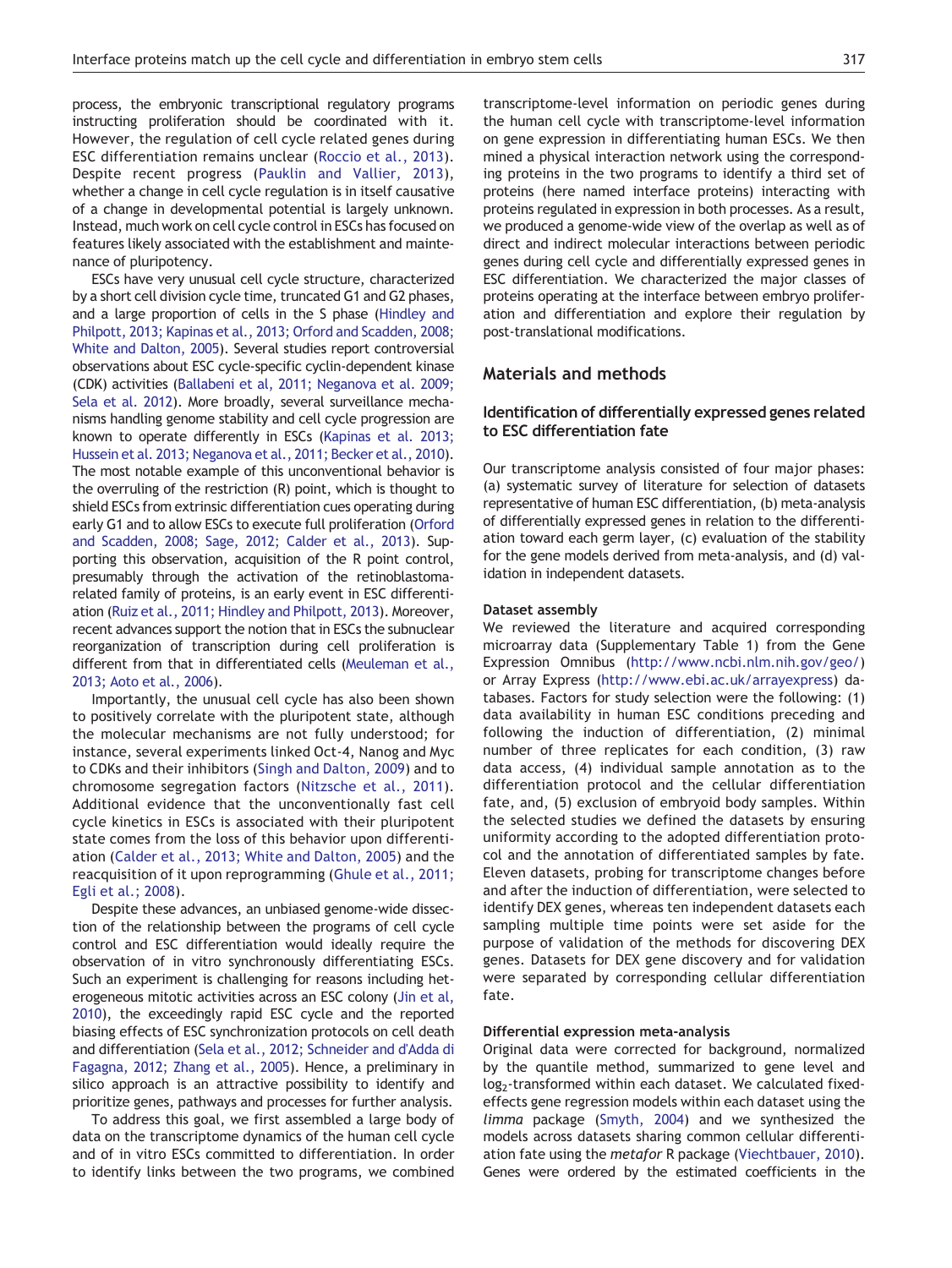process, the embryonic transcriptional regulatory programs instructing proliferation should be coordinated with it. However, the regulation of cell cycle related genes during ESC differentiation remains unclear [\(Roccio et al., 2013\)](#page-13-0). Despite recent progress ([Pauklin and Vallier, 2013\)](#page-12-0), whether a change in cell cycle regulation is in itself causative of a change in developmental potential is largely unknown. Instead, much work on cell cycle control in ESCs has focused on features likely associated with the establishment and maintenance of pluripotency.

ESCs have very unusual cell cycle structure, characterized by a short cell division cycle time, truncated G1 and G2 phases, and a large proportion of cells in the S phase [\(Hindley and](#page-12-0) [Philpott, 2013; Kapinas et al., 2013; Orford and Scadden, 2008;](#page-12-0) [White and Dalton, 2005](#page-12-0)). Several studies report controversial observations about ESC cycle-specific cyclin-dependent kinase (CDK) activities [\(Ballabeni et al, 2011; Neganova et al. 2009;](#page-11-0) [Sela et al. 2012](#page-11-0)). More broadly, several surveillance mechanisms handling genome stability and cell cycle progression are known to operate differently in ESCs ([Kapinas et al. 2013;](#page-12-0) [Hussein et al. 2013; Neganova et al., 2011; Becker et al., 2010](#page-12-0)). The most notable example of this unconventional behavior is the overruling of the restriction (R) point, which is thought to shield ESCs from extrinsic differentiation cues operating during early G1 and to allow ESCs to execute full proliferation [\(Orford](#page-12-0) [and Scadden, 2008; Sage, 2012; Calder et al., 2013\)](#page-12-0). Supporting this observation, acquisition of the R point control, presumably through the activation of the retinoblastomarelated family of proteins, is an early event in ESC differentiation [\(Ruiz et al., 2011; Hindley and Philpott, 2013](#page-13-0)). Moreover, recent advances support the notion that in ESCs the subnuclear reorganization of transcription during cell proliferation is different from that in differentiated cells ([Meuleman et al.,](#page-12-0) [2013; Aoto et al., 2006](#page-12-0)).

Importantly, the unusual cell cycle has also been shown to positively correlate with the pluripotent state, although the molecular mechanisms are not fully understood; for instance, several experiments linked Oct-4, Nanog and Myc to CDKs and their inhibitors [\(Singh and Dalton, 2009](#page-13-0)) and to chromosome segregation factors ([Nitzsche et al., 2011\)](#page-12-0). Additional evidence that the unconventionally fast cell cycle kinetics in ESCs is associated with their pluripotent state comes from the loss of this behavior upon differentiation ([Calder et al., 2013; White and Dalton, 2005](#page-12-0)) and the reacquisition of it upon reprogramming ([Ghule et al., 2011;](#page-12-0) [Egli et al.; 2008\)](#page-12-0).

Despite these advances, an unbiased genome-wide dissection of the relationship between the programs of cell cycle control and ESC differentiation would ideally require the observation of in vitro synchronously differentiating ESCs. Such an experiment is challenging for reasons including heterogeneous mitotic activities across an ESC colony ([Jin et al,](#page-12-0) [2010\)](#page-12-0), the exceedingly rapid ESC cycle and the reported biasing effects of ESC synchronization protocols on cell death and differentiation [\(Sela et al., 2012; Schneider and d'Adda di](#page-13-0) [Fagagna, 2012; Zhang et al., 2005](#page-13-0)). Hence, a preliminary in silico approach is an attractive possibility to identify and prioritize genes, pathways and processes for further analysis.

To address this goal, we first assembled a large body of data on the transcriptome dynamics of the human cell cycle and of in vitro ESCs committed to differentiation. In order to identify links between the two programs, we combined transcriptome-level information on periodic genes during the human cell cycle with transcriptome-level information on gene expression in differentiating human ESCs. We then mined a physical interaction network using the corresponding proteins in the two programs to identify a third set of proteins (here named interface proteins) interacting with proteins regulated in expression in both processes. As a result, we produced a genome-wide view of the overlap as well as of direct and indirect molecular interactions between periodic genes during cell cycle and differentially expressed genes in ESC differentiation. We characterized the major classes of proteins operating at the interface between embryo proliferation and differentiation and explore their regulation by post-translational modifications.

### Materials and methods

### Identification of differentially expressed genes related to ESC differentiation fate

Our transcriptome analysis consisted of four major phases: (a) systematic survey of literature for selection of datasets representative of human ESC differentiation, (b) meta-analysis of differentially expressed genes in relation to the differentiation toward each germ layer, (c) evaluation of the stability for the gene models derived from meta-analysis, and (d) validation in independent datasets.

#### Dataset assembly

We reviewed the literature and acquired corresponding microarray data (Supplementary Table 1) from the Gene Expression Omnibus (<http://www.ncbi.nlm.nih.gov/geo/>) or Array Express [\(http://www.ebi.ac.uk/arrayexpress](http://www.ebi.ac.uk/arrayexpress)) databases. Factors for study selection were the following: (1) data availability in human ESC conditions preceding and following the induction of differentiation, (2) minimal number of three replicates for each condition, (3) raw data access, (4) individual sample annotation as to the differentiation protocol and the cellular differentiation fate, and, (5) exclusion of embryoid body samples. Within the selected studies we defined the datasets by ensuring uniformity according to the adopted differentiation protocol and the annotation of differentiated samples by fate. Eleven datasets, probing for transcriptome changes before and after the induction of differentiation, were selected to identify DEX genes, whereas ten independent datasets each sampling multiple time points were set aside for the purpose of validation of the methods for discovering DEX genes. Datasets for DEX gene discovery and for validation were separated by corresponding cellular differentiation fate.

### Differential expression meta-analysis

Original data were corrected for background, normalized by the quantile method, summarized to gene level and  $log<sub>2</sub>$ -transformed within each dataset. We calculated fixedeffects gene regression models within each dataset using the limma package [\(Smyth, 2004](#page-13-0)) and we synthesized the models across datasets sharing common cellular differentiation fate using the metafor R package [\(Viechtbauer, 2010\)](#page-13-0). Genes were ordered by the estimated coefficients in the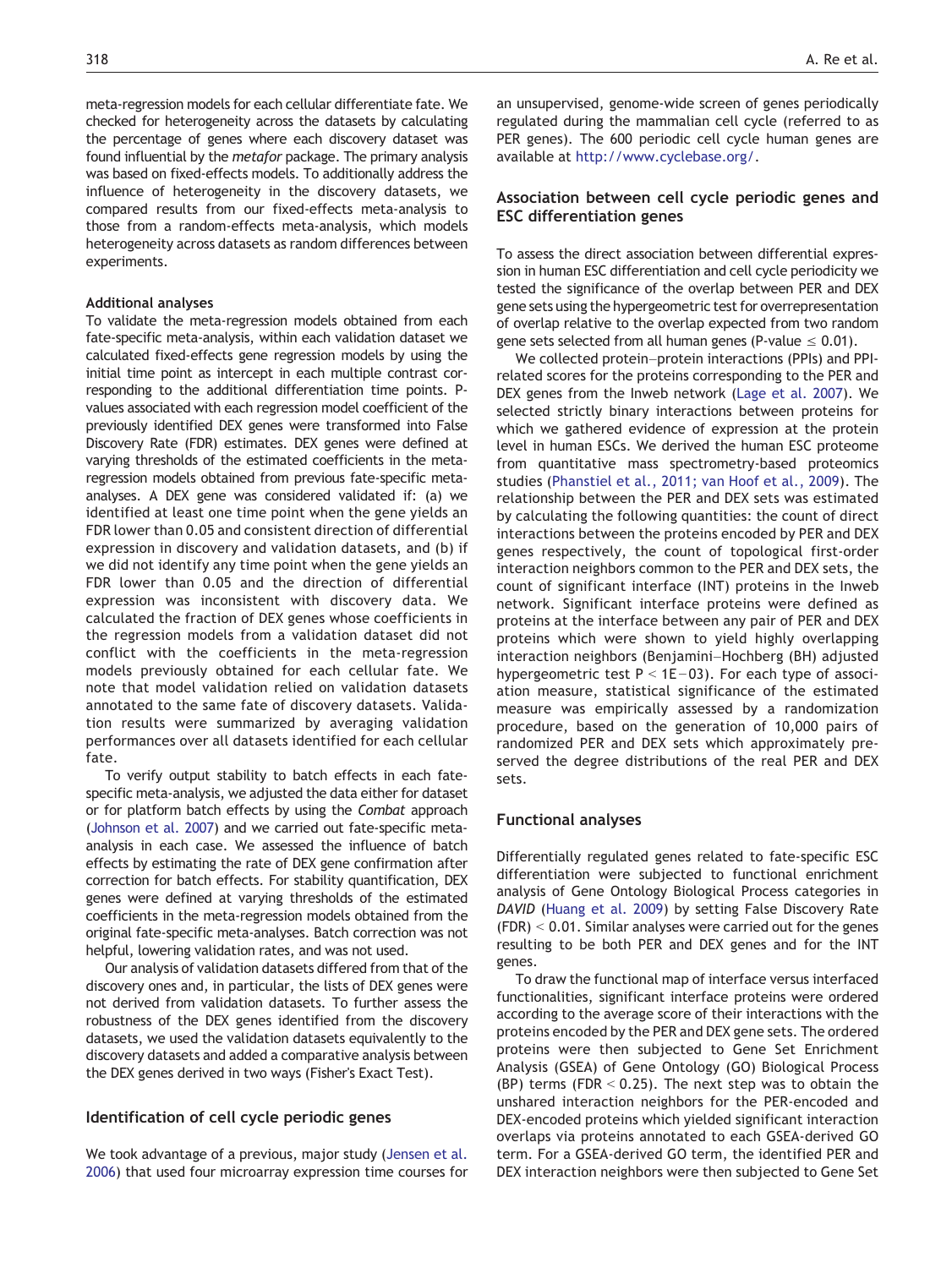meta-regression models for each cellular differentiate fate. We checked for heterogeneity across the datasets by calculating the percentage of genes where each discovery dataset was found influential by the metafor package. The primary analysis was based on fixed-effects models. To additionally address the influence of heterogeneity in the discovery datasets, we compared results from our fixed-effects meta-analysis to those from a random-effects meta-analysis, which models heterogeneity across datasets as random differences between experiments.

#### Additional analyses

To validate the meta-regression models obtained from each fate-specific meta-analysis, within each validation dataset we calculated fixed-effects gene regression models by using the initial time point as intercept in each multiple contrast corresponding to the additional differentiation time points. Pvalues associated with each regression model coefficient of the previously identified DEX genes were transformed into False Discovery Rate (FDR) estimates. DEX genes were defined at varying thresholds of the estimated coefficients in the metaregression models obtained from previous fate-specific metaanalyses. A DEX gene was considered validated if: (a) we identified at least one time point when the gene yields an FDR lower than 0.05 and consistent direction of differential expression in discovery and validation datasets, and (b) if we did not identify any time point when the gene yields an FDR lower than 0.05 and the direction of differential expression was inconsistent with discovery data. We calculated the fraction of DEX genes whose coefficients in the regression models from a validation dataset did not conflict with the coefficients in the meta-regression models previously obtained for each cellular fate. We note that model validation relied on validation datasets annotated to the same fate of discovery datasets. Validation results were summarized by averaging validation performances over all datasets identified for each cellular fate.

To verify output stability to batch effects in each fatespecific meta-analysis, we adjusted the data either for dataset or for platform batch effects by using the Combat approach [\(Johnson et al. 2007\)](#page-12-0) and we carried out fate-specific metaanalysis in each case. We assessed the influence of batch effects by estimating the rate of DEX gene confirmation after correction for batch effects. For stability quantification, DEX genes were defined at varying thresholds of the estimated coefficients in the meta-regression models obtained from the original fate-specific meta-analyses. Batch correction was not helpful, lowering validation rates, and was not used.

Our analysis of validation datasets differed from that of the discovery ones and, in particular, the lists of DEX genes were not derived from validation datasets. To further assess the robustness of the DEX genes identified from the discovery datasets, we used the validation datasets equivalently to the discovery datasets and added a comparative analysis between the DEX genes derived in two ways (Fisher's Exact Test).

#### Identification of cell cycle periodic genes

We took advantage of a previous, major study ([Jensen et al.](#page-12-0) [2006](#page-12-0)) that used four microarray expression time courses for an unsupervised, genome-wide screen of genes periodically regulated during the mammalian cell cycle (referred to as PER genes). The 600 periodic cell cycle human genes are available at <http://www.cyclebase.org/>.

### Association between cell cycle periodic genes and ESC differentiation genes

To assess the direct association between differential expression in human ESC differentiation and cell cycle periodicity we tested the significance of the overlap between PER and DEX gene sets using the hypergeometric test for overrepresentation of overlap relative to the overlap expected from two random gene sets selected from all human genes (P-value  $\leq 0.01$ ).

We collected protein–protein interactions (PPIs) and PPIrelated scores for the proteins corresponding to the PER and DEX genes from the Inweb network ([Lage et al. 2007\)](#page-12-0). We selected strictly binary interactions between proteins for which we gathered evidence of expression at the protein level in human ESCs. We derived the human ESC proteome from quantitative mass spectrometry-based proteomics studies ([Phanstiel et al., 2011; van Hoof et al., 2009](#page-12-0)). The relationship between the PER and DEX sets was estimated by calculating the following quantities: the count of direct interactions between the proteins encoded by PER and DEX genes respectively, the count of topological first-order interaction neighbors common to the PER and DEX sets, the count of significant interface (INT) proteins in the Inweb network. Significant interface proteins were defined as proteins at the interface between any pair of PER and DEX proteins which were shown to yield highly overlapping interaction neighbors (Benjamini–Hochberg (BH) adjusted hypergeometric test P < 1E−03). For each type of association measure, statistical significance of the estimated measure was empirically assessed by a randomization procedure, based on the generation of 10,000 pairs of randomized PER and DEX sets which approximately preserved the degree distributions of the real PER and DEX sets.

#### Functional analyses

Differentially regulated genes related to fate-specific ESC differentiation were subjected to functional enrichment analysis of Gene Ontology Biological Process categories in DAVID ([Huang et al. 2009](#page-12-0)) by setting False Discovery Rate (FDR)  $<$  0.01. Similar analyses were carried out for the genes resulting to be both PER and DEX genes and for the INT genes.

To draw the functional map of interface versus interfaced functionalities, significant interface proteins were ordered according to the average score of their interactions with the proteins encoded by the PER and DEX gene sets. The ordered proteins were then subjected to Gene Set Enrichment Analysis (GSEA) of Gene Ontology (GO) Biological Process (BP) terms (FDR  $<$  0.25). The next step was to obtain the unshared interaction neighbors for the PER-encoded and DEX-encoded proteins which yielded significant interaction overlaps via proteins annotated to each GSEA-derived GO term. For a GSEA-derived GO term, the identified PER and DEX interaction neighbors were then subjected to Gene Set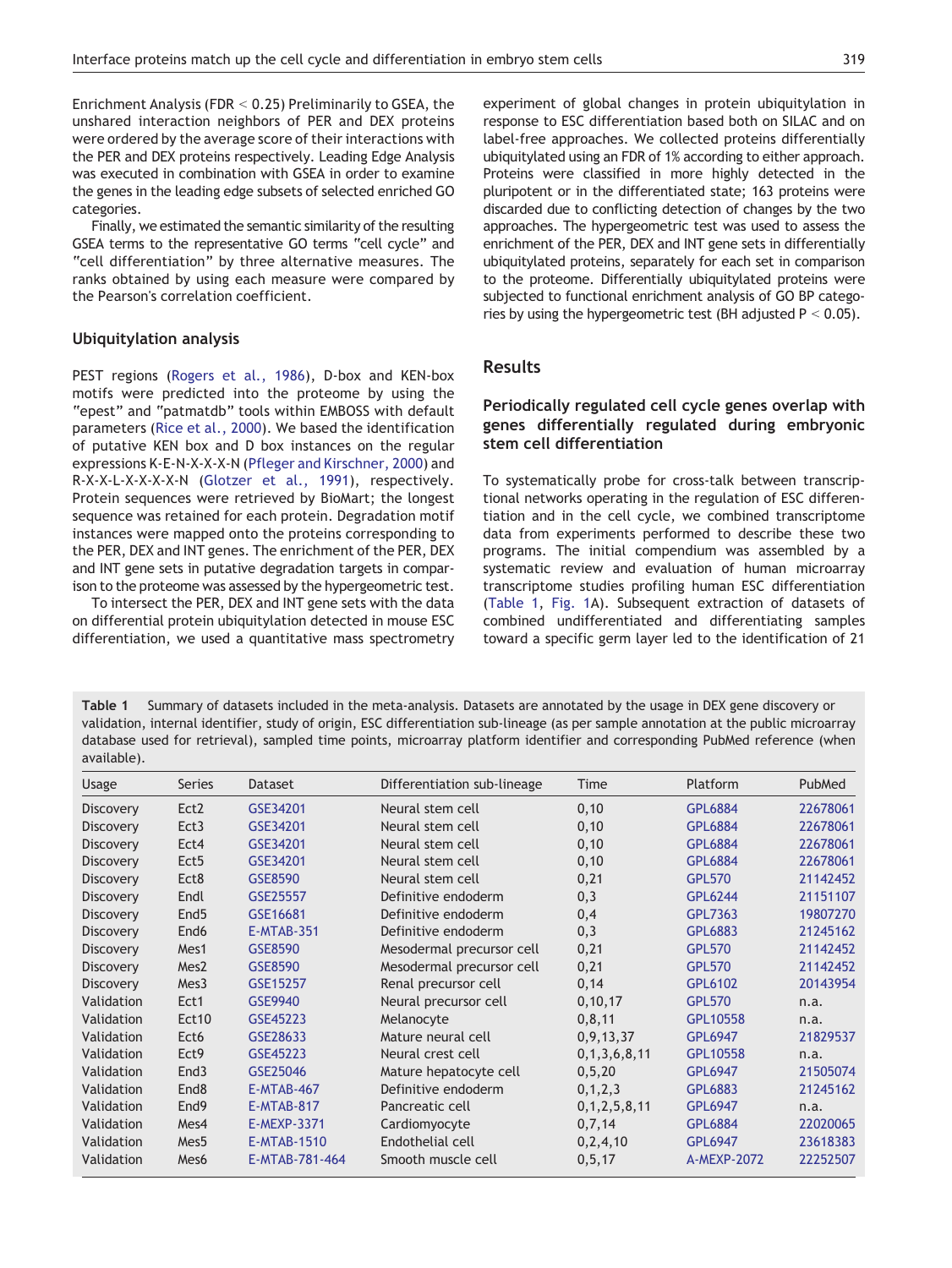Enrichment Analysis (FDR  $\le$  0.25) Preliminarily to GSEA, the unshared interaction neighbors of PER and DEX proteins were ordered by the average score of their interactions with the PER and DEX proteins respectively. Leading Edge Analysis was executed in combination with GSEA in order to examine the genes in the leading edge subsets of selected enriched GO categories.

Finally, we estimated the semantic similarity of the resulting GSEA terms to the representative GO terms "cell cycle" and "cell differentiation" by three alternative measures. The ranks obtained by using each measure were compared by the Pearson's correlation coefficient.

### Ubiquitylation analysis

PEST regions [\(Rogers et al., 1986\)](#page-13-0), D-box and KEN-box motifs were predicted into the proteome by using the "epest" and "patmatdb" tools within EMBOSS with default parameters [\(Rice et al., 2000\)](#page-13-0). We based the identification of putative KEN box and D box instances on the regular expressions K-E-N-X-X-X-N [\(Pfleger and Kirschner, 2000\)](#page-12-0) and R-X-X-L-X-X-X-X-N ([Glotzer et al., 1991\)](#page-12-0), respectively. Protein sequences were retrieved by BioMart; the longest sequence was retained for each protein. Degradation motif instances were mapped onto the proteins corresponding to the PER, DEX and INT genes. The enrichment of the PER, DEX and INT gene sets in putative degradation targets in comparison to the proteome was assessed by the hypergeometric test.

To intersect the PER, DEX and INT gene sets with the data on differential protein ubiquitylation detected in mouse ESC differentiation, we used a quantitative mass spectrometry experiment of global changes in protein ubiquitylation in response to ESC differentiation based both on SILAC and on label-free approaches. We collected proteins differentially ubiquitylated using an FDR of 1% according to either approach. Proteins were classified in more highly detected in the pluripotent or in the differentiated state; 163 proteins were discarded due to conflicting detection of changes by the two approaches. The hypergeometric test was used to assess the enrichment of the PER, DEX and INT gene sets in differentially ubiquitylated proteins, separately for each set in comparison to the proteome. Differentially ubiquitylated proteins were subjected to functional enrichment analysis of GO BP categories by using the hypergeometric test (BH adjusted  $P < 0.05$ ).

## Results

### Periodically regulated cell cycle genes overlap with genes differentially regulated during embryonic stem cell differentiation

To systematically probe for cross-talk between transcriptional networks operating in the regulation of ESC differentiation and in the cell cycle, we combined transcriptome data from experiments performed to describe these two programs. The initial compendium was assembled by a systematic review and evaluation of human microarray transcriptome studies profiling human ESC differentiation (Table 1, [Fig. 1A](#page-5-0)). Subsequent extraction of datasets of combined undifferentiated and differentiating samples toward a specific germ layer led to the identification of 21

Table 1 Summary of datasets included in the meta-analysis. Datasets are annotated by the usage in DEX gene discovery or validation, internal identifier, study of origin, ESC differentiation sub-lineage (as per sample annotation at the public microarray database used for retrieval), sampled time points, microarray platform identifier and corresponding PubMed reference (when available).

| Usage      | <b>Series</b>     | <b>Dataset</b>    | Differentiation sub-lineage | Time              | Platform       | PubMed   |
|------------|-------------------|-------------------|-----------------------------|-------------------|----------------|----------|
| Discovery  | Ect <sub>2</sub>  | GSE34201          | Neural stem cell            | 0, 10             | <b>GPL6884</b> | 22678061 |
| Discovery  | Ect <sub>3</sub>  | GSE34201          | Neural stem cell            | 0, 10             | <b>GPL6884</b> | 22678061 |
| Discovery  | Ect4              | GSE34201          | Neural stem cell            | 0, 10             | <b>GPL6884</b> | 22678061 |
| Discovery  | Ect <sub>5</sub>  | GSE34201          | Neural stem cell            | 0, 10             | GPL6884        | 22678061 |
| Discovery  | Ect8              | GSE8590           | Neural stem cell            | 0,21              | <b>GPL570</b>  | 21142452 |
| Discovery  | Endl              | GSE25557          | Definitive endoderm         | 0,3               | GPL6244        | 21151107 |
| Discovery  | End <sub>5</sub>  | GSE16681          | Definitive endoderm         | 0,4               | GPL7363        | 19807270 |
| Discovery  | End <sub>6</sub>  | <b>E-MTAB-351</b> | Definitive endoderm         | 0,3               | GPL6883        | 21245162 |
| Discovery  | Mes1              | GSE8590           | Mesodermal precursor cell   | 0,21              | <b>GPL570</b>  | 21142452 |
| Discovery  | Mes <sub>2</sub>  | GSE8590           | Mesodermal precursor cell   | 0,21              | <b>GPL570</b>  | 21142452 |
| Discovery  | Mes <sub>3</sub>  | GSE15257          | Renal precursor cell        | 0,14              | GPL6102        | 20143954 |
| Validation | Ect1              | GSE9940           | Neural precursor cell       | 0, 10, 17         | <b>GPL570</b>  | n.a.     |
| Validation | Ect <sub>10</sub> | GSE45223          | Melanocyte                  | 0, 8, 11          | GPL10558       | n.a.     |
| Validation | Ect <sub>6</sub>  | GSE28633          | Mature neural cell          | 0,9,13,37         | <b>GPL6947</b> | 21829537 |
| Validation | Ect <sub>9</sub>  | GSE45223          | Neural crest cell           | 0, 1, 3, 6, 8, 11 | GPL10558       | n.a.     |
| Validation | End <sub>3</sub>  | GSE25046          | Mature hepatocyte cell      | 0, 5, 20          | <b>GPL6947</b> | 21505074 |
| Validation | End <sub>8</sub>  | <b>E-MTAB-467</b> | Definitive endoderm         | 0, 1, 2, 3        | GPL6883        | 21245162 |
| Validation | End <sub>9</sub>  | <b>E-MTAB-817</b> | Pancreatic cell             | 0, 1, 2, 5, 8, 11 | <b>GPL6947</b> | n.a.     |
| Validation | Mes4              | E-MEXP-3371       | Cardiomyocyte               | 0, 7, 14          | <b>GPL6884</b> | 22020065 |
| Validation | Mes <sub>5</sub>  | E-MTAB-1510       | Endothelial cell            | 0, 2, 4, 10       | <b>GPL6947</b> | 23618383 |
| Validation | Mes <sub>6</sub>  | E-MTAB-781-464    | Smooth muscle cell          | 0, 5, 17          | A-MEXP-2072    | 22252507 |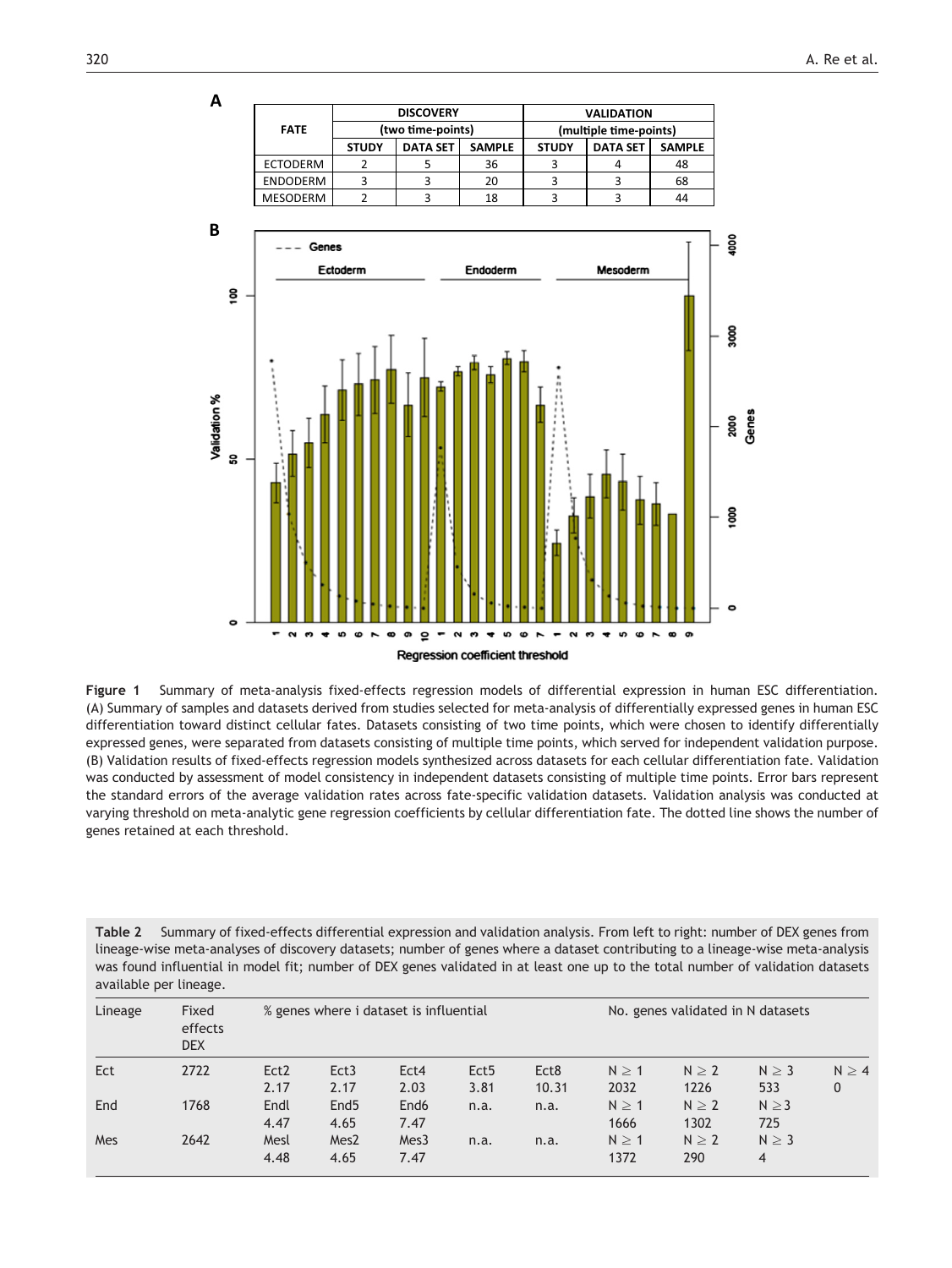<span id="page-5-0"></span>

Figure 1 Summary of meta-analysis fixed-effects regression models of differential expression in human ESC differentiation. (A) Summary of samples and datasets derived from studies selected for meta-analysis of differentially expressed genes in human ESC differentiation toward distinct cellular fates. Datasets consisting of two time points, which were chosen to identify differentially expressed genes, were separated from datasets consisting of multiple time points, which served for independent validation purpose. (B) Validation results of fixed-effects regression models synthesized across datasets for each cellular differentiation fate. Validation was conducted by assessment of model consistency in independent datasets consisting of multiple time points. Error bars represent the standard errors of the average validation rates across fate-specific validation datasets. Validation analysis was conducted at varying threshold on meta-analytic gene regression coefficients by cellular differentiation fate. The dotted line shows the number of genes retained at each threshold.

| Table 2 Summary of fixed-effects differential expression and validation analysis. From left to right: number of DEX genes from  |
|---------------------------------------------------------------------------------------------------------------------------------|
| lineage-wise meta-analyses of discovery datasets; number of genes where a dataset contributing to a lineage-wise meta-analysis  |
| was found influential in model fit; number of DEX genes validated in at least one up to the total number of validation datasets |
| available per lineage.                                                                                                          |

| Lineage | Fixed<br>effects<br><b>DEX</b> |                  |                  | % genes where i dataset is influential |                  |       |            | No. genes validated in N datasets |            |              |
|---------|--------------------------------|------------------|------------------|----------------------------------------|------------------|-------|------------|-----------------------------------|------------|--------------|
| Ect     | 2722                           | Ect <sub>2</sub> | Ect <sub>3</sub> | Ect4                                   | Ect <sub>5</sub> | Ect8  | $N \geq 1$ | $N \geq 2$                        | $N \geq 3$ | $N \geq 4$   |
|         |                                | 2.17             | 2.17             | 2.03                                   | 3.81             | 10.31 | 2032       | 1226                              | 533        | $\mathbf{0}$ |
| End     | 1768                           | Endl             | End <sub>5</sub> | End <sub>6</sub>                       | n.a.             | n.a.  | $N \geq 1$ | $N \geq 2$                        | $N \geq 3$ |              |
|         |                                | 4.47             | 4.65             | 7.47                                   |                  |       | 1666       | 1302                              | 725        |              |
| Mes     | 2642                           | Mesl             | Mes <sub>2</sub> | Mes <sub>3</sub>                       | n.a.             | n.a.  | $N \geq 1$ | $N \geq 2$                        | $N \geq 3$ |              |
|         |                                | 4.48             | 4.65             | 7.47                                   |                  |       | 1372       | 290                               | 4          |              |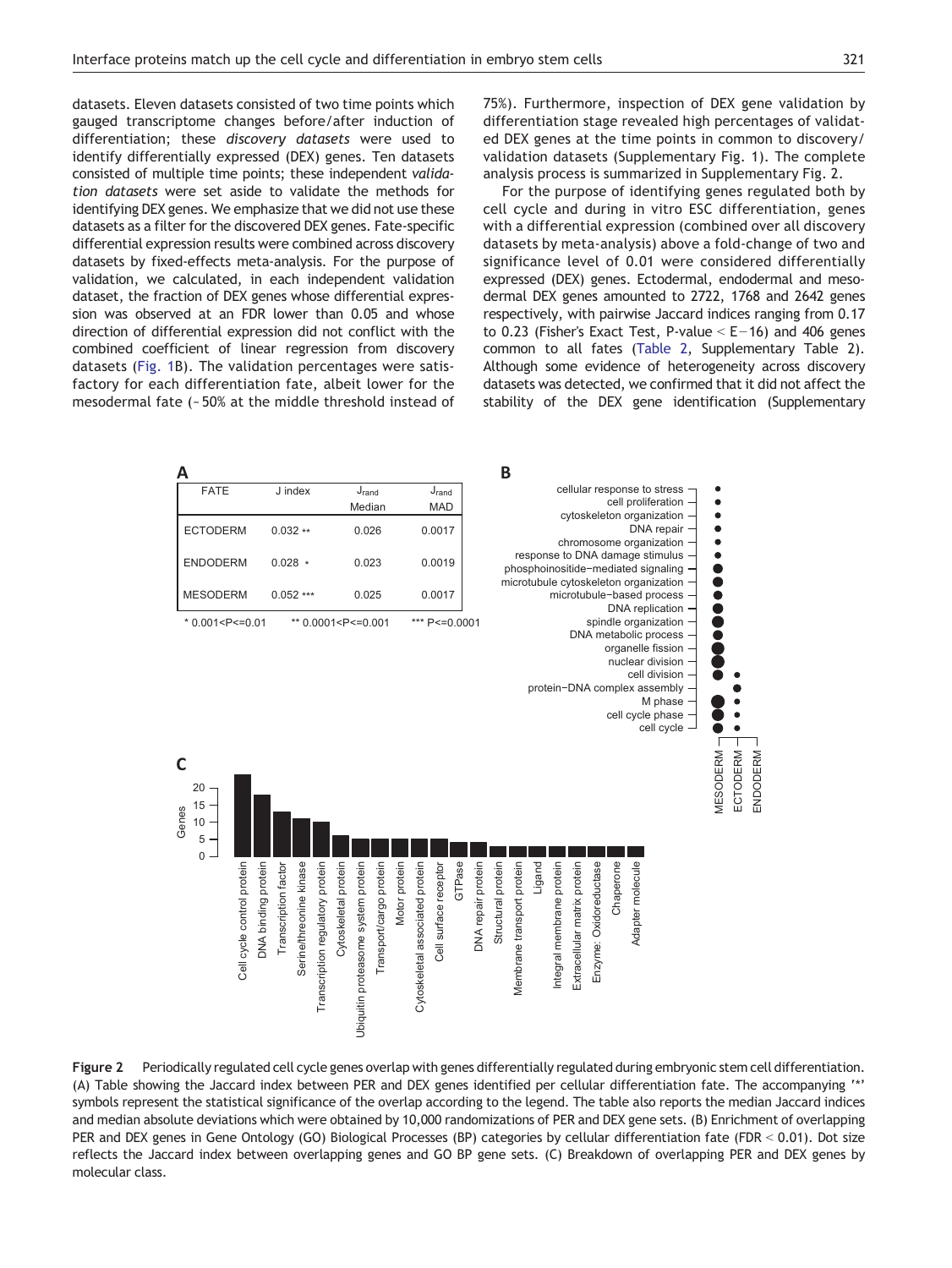<span id="page-6-0"></span>datasets. Eleven datasets consisted of two time points which gauged transcriptome changes before/after induction of differentiation; these discovery datasets were used to identify differentially expressed (DEX) genes. Ten datasets consisted of multiple time points; these independent validation datasets were set aside to validate the methods for identifying DEX genes. We emphasize that we did not use these datasets as a filter for the discovered DEX genes. Fate-specific differential expression results were combined across discovery datasets by fixed-effects meta-analysis. For the purpose of validation, we calculated, in each independent validation dataset, the fraction of DEX genes whose differential expression was observed at an FDR lower than 0.05 and whose direction of differential expression did not conflict with the combined coefficient of linear regression from discovery datasets ([Fig. 1](#page-5-0)B). The validation percentages were satisfactory for each differentiation fate, albeit lower for the mesodermal fate (~ 50% at the middle threshold instead of

75%). Furthermore, inspection of DEX gene validation by differentiation stage revealed high percentages of validated DEX genes at the time points in common to discovery/ validation datasets (Supplementary Fig. 1). The complete analysis process is summarized in Supplementary Fig. 2.

For the purpose of identifying genes regulated both by cell cycle and during in vitro ESC differentiation, genes with a differential expression (combined over all discovery datasets by meta-analysis) above a fold-change of two and significance level of 0.01 were considered differentially expressed (DEX) genes. Ectodermal, endodermal and mesodermal DEX genes amounted to 2722, 1768 and 2642 genes respectively, with pairwise Jaccard indices ranging from 0.17 to 0.23 (Fisher's Exact Test, P-value < E−16) and 406 genes common to all fates [\(Table 2](#page-5-0), Supplementary Table 2). Although some evidence of heterogeneity across discovery datasets was detected, we confirmed that it did not affect the stability of the DEX gene identification (Supplementary

| Α<br><b>FATE</b>                                  | J index              |                                                                                                                                                                                                                                                |                      | $J_{rand}$                          |                         |               |                                 | $J_{rand}$            |                |                    | B                  |                            |        |                           |                              |                                     |           | cellular response to stress                                        |                 |          |
|---------------------------------------------------|----------------------|------------------------------------------------------------------------------------------------------------------------------------------------------------------------------------------------------------------------------------------------|----------------------|-------------------------------------|-------------------------|---------------|---------------------------------|-----------------------|----------------|--------------------|--------------------|----------------------------|--------|---------------------------|------------------------------|-------------------------------------|-----------|--------------------------------------------------------------------|-----------------|----------|
|                                                   |                      |                                                                                                                                                                                                                                                |                      | Median                              |                         |               |                                 | <b>MAD</b>            |                |                    |                    |                            |        |                           |                              |                                     |           | cell proliferation                                                 |                 |          |
|                                                   |                      |                                                                                                                                                                                                                                                |                      |                                     |                         |               |                                 |                       |                |                    |                    |                            |        |                           |                              |                                     |           | cytoskeleton organization ·                                        |                 |          |
| <b>ECTODERM</b>                                   | $0.032**$            |                                                                                                                                                                                                                                                |                      | 0.026                               |                         |               |                                 | 0.0017                |                |                    |                    |                            |        |                           |                              |                                     |           | DNA repair<br>chromosome organization                              |                 |          |
|                                                   |                      |                                                                                                                                                                                                                                                |                      |                                     |                         |               |                                 |                       |                |                    |                    |                            |        |                           |                              |                                     |           | response to DNA damage stimulus                                    |                 |          |
| <b>ENDODERM</b>                                   | $0.028$ *            |                                                                                                                                                                                                                                                | 0.023                |                                     |                         | 0.0019        |                                 |                       |                |                    |                    |                            |        |                           |                              | phosphoinositide-mediated signaling |           |                                                                    |                 |          |
| <b>MESODERM</b>                                   | $0.052$ ***          |                                                                                                                                                                                                                                                |                      | 0.025                               |                         |               |                                 | 0.0017                |                |                    |                    |                            |        |                           |                              |                                     |           | microtubule cytoskeleton organization<br>microtubule-based process |                 |          |
|                                                   |                      |                                                                                                                                                                                                                                                |                      |                                     |                         |               |                                 |                       |                |                    |                    |                            |        |                           |                              |                                     |           | DNA replication .                                                  |                 |          |
| $*0.001 < P < = 0.01$                             |                      | ** 0.0001 <p<=0.001< td=""><td></td><td></td><td></td><td></td><td></td><td></td><td>*** P&lt;= 0.0001</td><td></td><td></td><td></td><td></td><td></td><td></td><td></td><td></td><td>spindle organization</td><td></td><td></td></p<=0.001<> |                      |                                     |                         |               |                                 |                       | *** P<= 0.0001 |                    |                    |                            |        |                           |                              |                                     |           | spindle organization                                               |                 |          |
|                                                   |                      |                                                                                                                                                                                                                                                |                      |                                     |                         |               |                                 |                       |                |                    |                    |                            |        |                           |                              |                                     |           | DNA metabolic process                                              |                 |          |
|                                                   |                      |                                                                                                                                                                                                                                                |                      |                                     |                         |               |                                 |                       |                |                    |                    |                            |        |                           |                              |                                     |           | organelle fission<br>nuclear division ·                            |                 |          |
|                                                   |                      |                                                                                                                                                                                                                                                |                      |                                     |                         |               |                                 |                       |                |                    |                    |                            |        |                           |                              |                                     |           | cell division ·                                                    |                 |          |
|                                                   |                      |                                                                                                                                                                                                                                                |                      |                                     |                         |               |                                 |                       |                |                    |                    |                            |        |                           |                              |                                     |           | protein-DNA complex assembly -                                     |                 |          |
|                                                   |                      |                                                                                                                                                                                                                                                |                      |                                     |                         |               |                                 |                       |                |                    |                    |                            |        |                           |                              |                                     |           | M phase<br>cell cycle phase                                        |                 |          |
|                                                   |                      |                                                                                                                                                                                                                                                |                      |                                     |                         |               |                                 |                       |                |                    |                    |                            |        |                           |                              |                                     |           | cell cycle -                                                       |                 |          |
|                                                   |                      |                                                                                                                                                                                                                                                |                      |                                     |                         |               |                                 |                       |                |                    |                    |                            |        |                           |                              |                                     |           |                                                                    |                 |          |
| C                                                 |                      |                                                                                                                                                                                                                                                |                      |                                     |                         |               |                                 |                       |                |                    |                    |                            |        |                           |                              |                                     |           |                                                                    |                 |          |
|                                                   |                      |                                                                                                                                                                                                                                                |                      |                                     |                         |               |                                 |                       |                |                    |                    |                            |        |                           |                              |                                     |           |                                                                    |                 |          |
| 20                                                |                      |                                                                                                                                                                                                                                                |                      |                                     |                         |               |                                 |                       |                |                    |                    |                            |        |                           |                              |                                     |           |                                                                    | <b>MESODERM</b> | ECTODERM |
| 15<br>Genes<br>10                                 |                      |                                                                                                                                                                                                                                                |                      |                                     |                         |               |                                 |                       |                |                    |                    |                            |        |                           |                              |                                     |           |                                                                    |                 |          |
|                                                   |                      |                                                                                                                                                                                                                                                |                      |                                     |                         |               |                                 |                       |                |                    |                    |                            |        |                           |                              |                                     |           |                                                                    |                 |          |
| 5<br>0                                            |                      |                                                                                                                                                                                                                                                |                      |                                     |                         |               |                                 |                       |                |                    |                    |                            |        |                           |                              |                                     |           |                                                                    |                 |          |
|                                                   |                      |                                                                                                                                                                                                                                                |                      |                                     |                         |               |                                 |                       |                |                    |                    |                            |        |                           |                              |                                     |           |                                                                    |                 |          |
|                                                   | Transcription factor |                                                                                                                                                                                                                                                | Cytoskeletal protein |                                     |                         | Motor protein |                                 |                       | GTPase         | DNA repair protein | Structural protein |                            | Ligand |                           |                              |                                     | Chaperone | Adapter molecule                                                   |                 |          |
|                                                   |                      |                                                                                                                                                                                                                                                |                      |                                     |                         |               |                                 |                       |                |                    |                    |                            |        |                           |                              |                                     |           |                                                                    |                 |          |
|                                                   |                      |                                                                                                                                                                                                                                                |                      |                                     |                         |               |                                 |                       |                |                    |                    |                            |        |                           |                              |                                     |           |                                                                    |                 |          |
|                                                   |                      |                                                                                                                                                                                                                                                |                      |                                     |                         |               |                                 |                       |                |                    |                    |                            |        |                           |                              |                                     |           |                                                                    |                 |          |
| Cell cycle control protein<br>DNA binding protein |                      | Serine/threonine kinase                                                                                                                                                                                                                        |                      |                                     | Transport/cargo protein |               |                                 | Cell surface receptor |                |                    |                    | Membrane transport protein |        | Integral membrane protein | Extracellular matrix protein | Enzyme: Oxidoreductase              |           |                                                                    |                 |          |
|                                                   |                      |                                                                                                                                                                                                                                                |                      |                                     |                         |               |                                 |                       |                |                    |                    |                            |        |                           |                              |                                     |           |                                                                    |                 |          |
|                                                   |                      |                                                                                                                                                                                                                                                |                      |                                     |                         |               |                                 |                       |                |                    |                    |                            |        |                           |                              |                                     |           |                                                                    |                 |          |
|                                                   |                      | Transcription regulatory protein                                                                                                                                                                                                               |                      | Ubiquitin proteasome system protein |                         |               | Cytoskeletal associated protein |                       |                |                    |                    |                            |        |                           |                              |                                     |           |                                                                    |                 |          |
|                                                   |                      |                                                                                                                                                                                                                                                |                      |                                     |                         |               |                                 |                       |                |                    |                    |                            |        |                           |                              |                                     |           |                                                                    |                 |          |
|                                                   |                      |                                                                                                                                                                                                                                                |                      |                                     |                         |               |                                 |                       |                |                    |                    |                            |        |                           |                              |                                     |           |                                                                    |                 |          |

Figure 2 Periodically regulated cell cycle genes overlap with genes differentially regulated during embryonic stem cell differentiation. (A) Table showing the Jaccard index between PER and DEX genes identified per cellular differentiation fate. The accompanying '\*' symbols represent the statistical significance of the overlap according to the legend. The table also reports the median Jaccard indices and median absolute deviations which were obtained by 10,000 randomizations of PER and DEX gene sets. (B) Enrichment of overlapping PER and DEX genes in Gene Ontology (GO) Biological Processes (BP) categories by cellular differentiation fate (FDR < 0.01). Dot size reflects the Jaccard index between overlapping genes and GO BP gene sets. (C) Breakdown of overlapping PER and DEX genes by molecular class.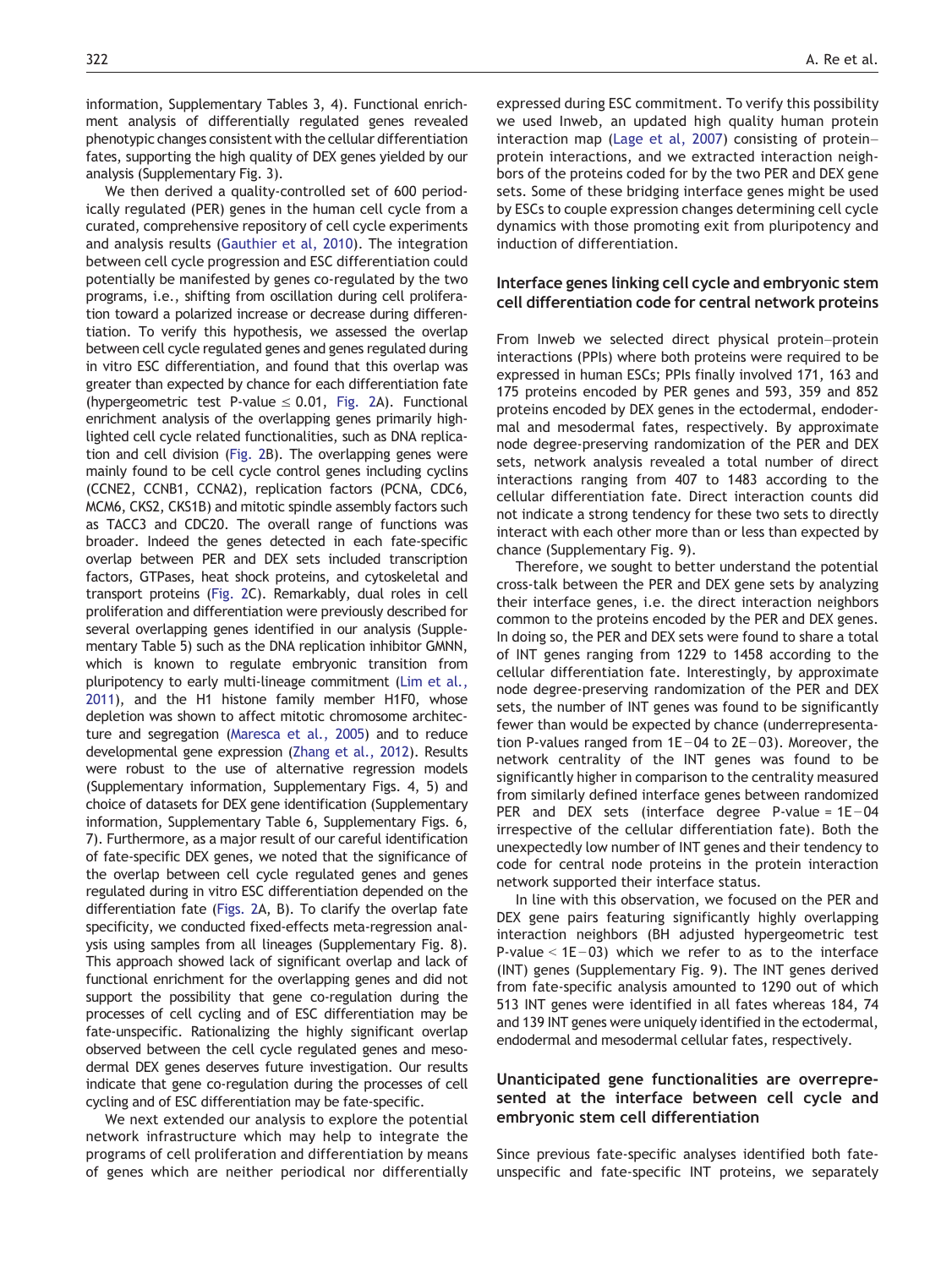information, Supplementary Tables 3, 4). Functional enrichment analysis of differentially regulated genes revealed phenotypic changes consistent with the cellular differentiation fates, supporting the high quality of DEX genes yielded by our analysis (Supplementary Fig. 3).

We then derived a quality-controlled set of 600 periodically regulated (PER) genes in the human cell cycle from a curated, comprehensive repository of cell cycle experiments and analysis results ([Gauthier et al, 2010\)](#page-12-0). The integration between cell cycle progression and ESC differentiation could potentially be manifested by genes co-regulated by the two programs, i.e., shifting from oscillation during cell proliferation toward a polarized increase or decrease during differentiation. To verify this hypothesis, we assessed the overlap between cell cycle regulated genes and genes regulated during in vitro ESC differentiation, and found that this overlap was greater than expected by chance for each differentiation fate (hypergeometric test P-value  $\leq$  0.01, [Fig. 2](#page-6-0)A). Functional enrichment analysis of the overlapping genes primarily highlighted cell cycle related functionalities, such as DNA replication and cell division ([Fig. 2](#page-6-0)B). The overlapping genes were mainly found to be cell cycle control genes including cyclins (CCNE2, CCNB1, CCNA2), replication factors (PCNA, CDC6, MCM6, CKS2, CKS1B) and mitotic spindle assembly factors such as TACC3 and CDC20. The overall range of functions was broader. Indeed the genes detected in each fate-specific overlap between PER and DEX sets included transcription factors, GTPases, heat shock proteins, and cytoskeletal and transport proteins [\(Fig. 2C](#page-6-0)). Remarkably, dual roles in cell proliferation and differentiation were previously described for several overlapping genes identified in our analysis (Supplementary Table 5) such as the DNA replication inhibitor GMNN, which is known to regulate embryonic transition from pluripotency to early multi-lineage commitment [\(Lim et al.,](#page-12-0) [2011\)](#page-12-0), and the H1 histone family member H1F0, whose depletion was shown to affect mitotic chromosome architecture and segregation ([Maresca et al., 2005](#page-12-0)) and to reduce developmental gene expression [\(Zhang et al., 2012](#page-13-0)). Results were robust to the use of alternative regression models (Supplementary information, Supplementary Figs. 4, 5) and choice of datasets for DEX gene identification (Supplementary information, Supplementary Table 6, Supplementary Figs. 6, 7). Furthermore, as a major result of our careful identification of fate-specific DEX genes, we noted that the significance of the overlap between cell cycle regulated genes and genes regulated during in vitro ESC differentiation depended on the differentiation fate ([Figs. 2A](#page-6-0), B). To clarify the overlap fate specificity, we conducted fixed-effects meta-regression analysis using samples from all lineages (Supplementary Fig. 8). This approach showed lack of significant overlap and lack of functional enrichment for the overlapping genes and did not support the possibility that gene co-regulation during the processes of cell cycling and of ESC differentiation may be fate-unspecific. Rationalizing the highly significant overlap observed between the cell cycle regulated genes and mesodermal DEX genes deserves future investigation. Our results indicate that gene co-regulation during the processes of cell cycling and of ESC differentiation may be fate-specific.

We next extended our analysis to explore the potential network infrastructure which may help to integrate the programs of cell proliferation and differentiation by means of genes which are neither periodical nor differentially expressed during ESC commitment. To verify this possibility we used Inweb, an updated high quality human protein interaction map ([Lage et al, 2007](#page-12-0)) consisting of protein– protein interactions, and we extracted interaction neighbors of the proteins coded for by the two PER and DEX gene sets. Some of these bridging interface genes might be used by ESCs to couple expression changes determining cell cycle dynamics with those promoting exit from pluripotency and induction of differentiation.

### Interface genes linking cell cycle and embryonic stem cell differentiation code for central network proteins

From Inweb we selected direct physical protein–protein interactions (PPIs) where both proteins were required to be expressed in human ESCs; PPIs finally involved 171, 163 and 175 proteins encoded by PER genes and 593, 359 and 852 proteins encoded by DEX genes in the ectodermal, endodermal and mesodermal fates, respectively. By approximate node degree-preserving randomization of the PER and DEX sets, network analysis revealed a total number of direct interactions ranging from 407 to 1483 according to the cellular differentiation fate. Direct interaction counts did not indicate a strong tendency for these two sets to directly interact with each other more than or less than expected by chance (Supplementary Fig. 9).

Therefore, we sought to better understand the potential cross-talk between the PER and DEX gene sets by analyzing their interface genes, i.e. the direct interaction neighbors common to the proteins encoded by the PER and DEX genes. In doing so, the PER and DEX sets were found to share a total of INT genes ranging from 1229 to 1458 according to the cellular differentiation fate. Interestingly, by approximate node degree-preserving randomization of the PER and DEX sets, the number of INT genes was found to be significantly fewer than would be expected by chance (underrepresentation P-values ranged from 1E−04 to 2E−03). Moreover, the network centrality of the INT genes was found to be significantly higher in comparison to the centrality measured from similarly defined interface genes between randomized PER and DEX sets (interface degree P-value = 1E−04 irrespective of the cellular differentiation fate). Both the unexpectedly low number of INT genes and their tendency to code for central node proteins in the protein interaction network supported their interface status.

In line with this observation, we focused on the PER and DEX gene pairs featuring significantly highly overlapping interaction neighbors (BH adjusted hypergeometric test P-value < 1E−03) which we refer to as to the interface (INT) genes (Supplementary Fig. 9). The INT genes derived from fate-specific analysis amounted to 1290 out of which 513 INT genes were identified in all fates whereas 184, 74 and 139 INT genes were uniquely identified in the ectodermal, endodermal and mesodermal cellular fates, respectively.

### Unanticipated gene functionalities are overrepresented at the interface between cell cycle and embryonic stem cell differentiation

Since previous fate-specific analyses identified both fateunspecific and fate-specific INT proteins, we separately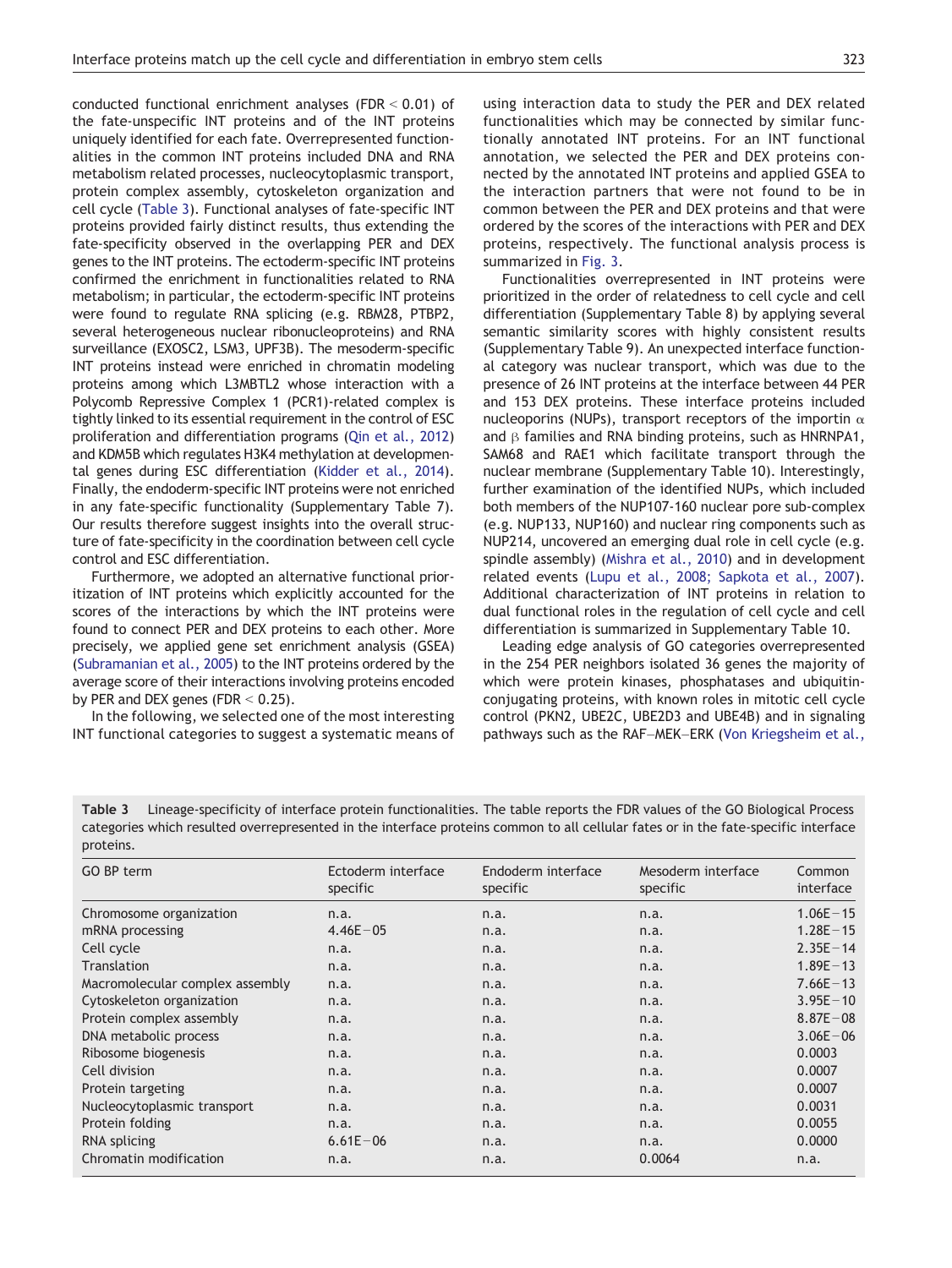conducted functional enrichment analyses (FDR  $< 0.01$ ) of the fate-unspecific INT proteins and of the INT proteins uniquely identified for each fate. Overrepresented functionalities in the common INT proteins included DNA and RNA metabolism related processes, nucleocytoplasmic transport, protein complex assembly, cytoskeleton organization and cell cycle (Table 3). Functional analyses of fate-specific INT proteins provided fairly distinct results, thus extending the fate-specificity observed in the overlapping PER and DEX genes to the INT proteins. The ectoderm-specific INT proteins confirmed the enrichment in functionalities related to RNA metabolism; in particular, the ectoderm-specific INT proteins were found to regulate RNA splicing (e.g. RBM28, PTBP2, several heterogeneous nuclear ribonucleoproteins) and RNA surveillance (EXOSC2, LSM3, UPF3B). The mesoderm-specific INT proteins instead were enriched in chromatin modeling proteins among which L3MBTL2 whose interaction with a Polycomb Repressive Complex 1 (PCR1)-related complex is tightly linked to its essential requirement in the control of ESC proliferation and differentiation programs [\(Qin et al., 2012](#page-12-0)) and KDM5B which regulates H3K4 methylation at developmental genes during ESC differentiation [\(Kidder et al., 2014](#page-12-0)). Finally, the endoderm-specific INT proteins were not enriched in any fate-specific functionality (Supplementary Table 7). Our results therefore suggest insights into the overall structure of fate-specificity in the coordination between cell cycle control and ESC differentiation.

Furthermore, we adopted an alternative functional prioritization of INT proteins which explicitly accounted for the scores of the interactions by which the INT proteins were found to connect PER and DEX proteins to each other. More precisely, we applied gene set enrichment analysis (GSEA) ([Subramanian et al., 2005\)](#page-13-0) to the INT proteins ordered by the average score of their interactions involving proteins encoded by PER and DEX genes (FDR  $<$  0.25).

In the following, we selected one of the most interesting INT functional categories to suggest a systematic means of using interaction data to study the PER and DEX related functionalities which may be connected by similar functionally annotated INT proteins. For an INT functional annotation, we selected the PER and DEX proteins connected by the annotated INT proteins and applied GSEA to the interaction partners that were not found to be in common between the PER and DEX proteins and that were ordered by the scores of the interactions with PER and DEX proteins, respectively. The functional analysis process is summarized in [Fig. 3.](#page-9-0)

Functionalities overrepresented in INT proteins were prioritized in the order of relatedness to cell cycle and cell differentiation (Supplementary Table 8) by applying several semantic similarity scores with highly consistent results (Supplementary Table 9). An unexpected interface functional category was nuclear transport, which was due to the presence of 26 INT proteins at the interface between 44 PER and 153 DEX proteins. These interface proteins included nucleoporins (NUPs), transport receptors of the importin  $\alpha$ and β families and RNA binding proteins, such as HNRNPA1, SAM68 and RAE1 which facilitate transport through the nuclear membrane (Supplementary Table 10). Interestingly, further examination of the identified NUPs, which included both members of the NUP107-160 nuclear pore sub-complex (e.g. NUP133, NUP160) and nuclear ring components such as NUP214, uncovered an emerging dual role in cell cycle (e.g. spindle assembly) [\(Mishra et al., 2010](#page-12-0)) and in development related events [\(Lupu et al., 2008; Sapkota et al., 2007\)](#page-12-0). Additional characterization of INT proteins in relation to dual functional roles in the regulation of cell cycle and cell differentiation is summarized in Supplementary Table 10.

Leading edge analysis of GO categories overrepresented in the 254 PER neighbors isolated 36 genes the majority of which were protein kinases, phosphatases and ubiquitinconjugating proteins, with known roles in mitotic cell cycle control (PKN2, UBE2C, UBE2D3 and UBE4B) and in signaling pathways such as the RAF–MEK–ERK ([Von Kriegsheim et al.,](#page-13-0)

Table 3 Lineage-specificity of interface protein functionalities. The table reports the FDR values of the GO Biological Process categories which resulted overrepresented in the interface proteins common to all cellular fates or in the fate-specific interface proteins.

| <u>p.o.c</u>                    |                                |                                |                                |                     |
|---------------------------------|--------------------------------|--------------------------------|--------------------------------|---------------------|
| GO BP term                      | Ectoderm interface<br>specific | Endoderm interface<br>specific | Mesoderm interface<br>specific | Common<br>interface |
| Chromosome organization         | n.a.                           | n.a.                           | n.a.                           | $1.06E - 15$        |
| mRNA processing                 | $4.46E - 05$                   | n.a.                           | n.a.                           | $1.28E - 15$        |
| Cell cycle                      | n.a.                           | n.a.                           | n.a.                           | $2.35E - 14$        |
| Translation                     | n.a.                           | n.a.                           | n.a.                           | $1.89E - 13$        |
| Macromolecular complex assembly | n.a.                           | n.a.                           | n.a.                           | $7.66E - 13$        |
| Cytoskeleton organization       | n.a.                           | n.a.                           | n.a.                           | $3.95E - 10$        |
| Protein complex assembly        | n.a.                           | n.a.                           | n.a.                           | $8.87E - 08$        |
| DNA metabolic process           | n.a.                           | n.a.                           | n.a.                           | $3.06E - 06$        |
| Ribosome biogenesis             | n.a.                           | n.a.                           | n.a.                           | 0.0003              |
| Cell division                   | n.a.                           | n.a.                           | n.a.                           | 0.0007              |
| Protein targeting               | n.a.                           | n.a.                           | n.a.                           | 0.0007              |
| Nucleocytoplasmic transport     | n.a.                           | n.a.                           | n.a.                           | 0.0031              |
| Protein folding                 | n.a.                           | n.a.                           | n.a.                           | 0.0055              |
| RNA splicing                    | $6.61E - 06$                   | n.a.                           | n.a.                           | 0.0000              |
| Chromatin modification          | n.a.                           | n.a.                           | 0.0064                         | n.a.                |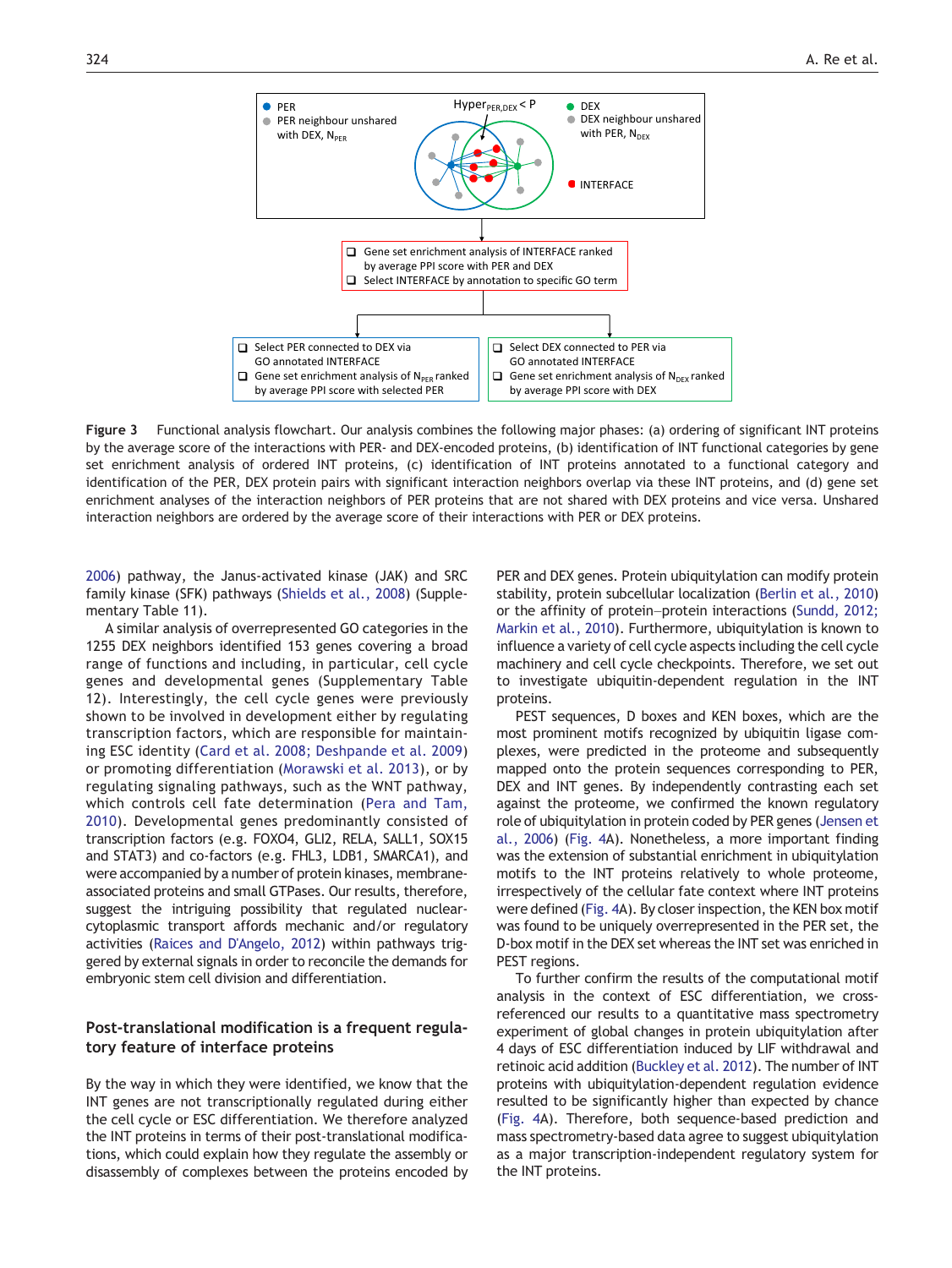<span id="page-9-0"></span>

Figure 3 Functional analysis flowchart. Our analysis combines the following major phases: (a) ordering of significant INT proteins by the average score of the interactions with PER- and DEX-encoded proteins, (b) identification of INT functional categories by gene set enrichment analysis of ordered INT proteins, (c) identification of INT proteins annotated to a functional category and identification of the PER, DEX protein pairs with significant interaction neighbors overlap via these INT proteins, and (d) gene set enrichment analyses of the interaction neighbors of PER proteins that are not shared with DEX proteins and vice versa. Unshared interaction neighbors are ordered by the average score of their interactions with PER or DEX proteins.

[2006](#page-13-0)) pathway, the Janus-activated kinase (JAK) and SRC family kinase (SFK) pathways [\(Shields et al., 2008\)](#page-13-0) (Supplementary Table 11).

A similar analysis of overrepresented GO categories in the 1255 DEX neighbors identified 153 genes covering a broad range of functions and including, in particular, cell cycle genes and developmental genes (Supplementary Table 12). Interestingly, the cell cycle genes were previously shown to be involved in development either by regulating transcription factors, which are responsible for maintaining ESC identity [\(Card et al. 2008; Deshpande et al. 2009\)](#page-12-0) or promoting differentiation ([Morawski et al. 2013\)](#page-12-0), or by regulating signaling pathways, such as the WNT pathway, which controls cell fate determination ([Pera and Tam,](#page-12-0) [2010](#page-12-0)). Developmental genes predominantly consisted of transcription factors (e.g. FOXO4, GLI2, RELA, SALL1, SOX15 and STAT3) and co-factors (e.g. FHL3, LDB1, SMARCA1), and were accompanied by a number of protein kinases, membraneassociated proteins and small GTPases. Our results, therefore, suggest the intriguing possibility that regulated nuclearcytoplasmic transport affords mechanic and/or regulatory activities [\(Raices and D'Angelo, 2012\)](#page-12-0) within pathways triggered by external signals in order to reconcile the demands for embryonic stem cell division and differentiation.

## Post-translational modification is a frequent regulatory feature of interface proteins

By the way in which they were identified, we know that the INT genes are not transcriptionally regulated during either the cell cycle or ESC differentiation. We therefore analyzed the INT proteins in terms of their post-translational modifications, which could explain how they regulate the assembly or disassembly of complexes between the proteins encoded by PER and DEX genes. Protein ubiquitylation can modify protein stability, protein subcellular localization ([Berlin et al., 2010\)](#page-12-0) or the affinity of protein–protein interactions ([Sundd, 2012;](#page-13-0) [Markin et al., 2010](#page-13-0)). Furthermore, ubiquitylation is known to influence a variety of cell cycle aspects including the cell cycle machinery and cell cycle checkpoints. Therefore, we set out to investigate ubiquitin-dependent regulation in the INT proteins.

PEST sequences, D boxes and KEN boxes, which are the most prominent motifs recognized by ubiquitin ligase complexes, were predicted in the proteome and subsequently mapped onto the protein sequences corresponding to PER, DEX and INT genes. By independently contrasting each set against the proteome, we confirmed the known regulatory role of ubiquitylation in protein coded by PER genes [\(Jensen et](#page-12-0) [al., 2006](#page-12-0)) [\(Fig. 4](#page-10-0)A). Nonetheless, a more important finding was the extension of substantial enrichment in ubiquitylation motifs to the INT proteins relatively to whole proteome, irrespectively of the cellular fate context where INT proteins were defined ([Fig. 4](#page-10-0)A). By closer inspection, the KEN box motif was found to be uniquely overrepresented in the PER set, the D-box motif in the DEX set whereas the INT set was enriched in PEST regions.

To further confirm the results of the computational motif analysis in the context of ESC differentiation, we crossreferenced our results to a quantitative mass spectrometry experiment of global changes in protein ubiquitylation after 4 days of ESC differentiation induced by LIF withdrawal and retinoic acid addition [\(Buckley et al. 2012\)](#page-12-0). The number of INT proteins with ubiquitylation-dependent regulation evidence resulted to be significantly higher than expected by chance [\(Fig. 4](#page-10-0)A). Therefore, both sequence-based prediction and mass spectrometry-based data agree to suggest ubiquitylation as a major transcription-independent regulatory system for the INT proteins.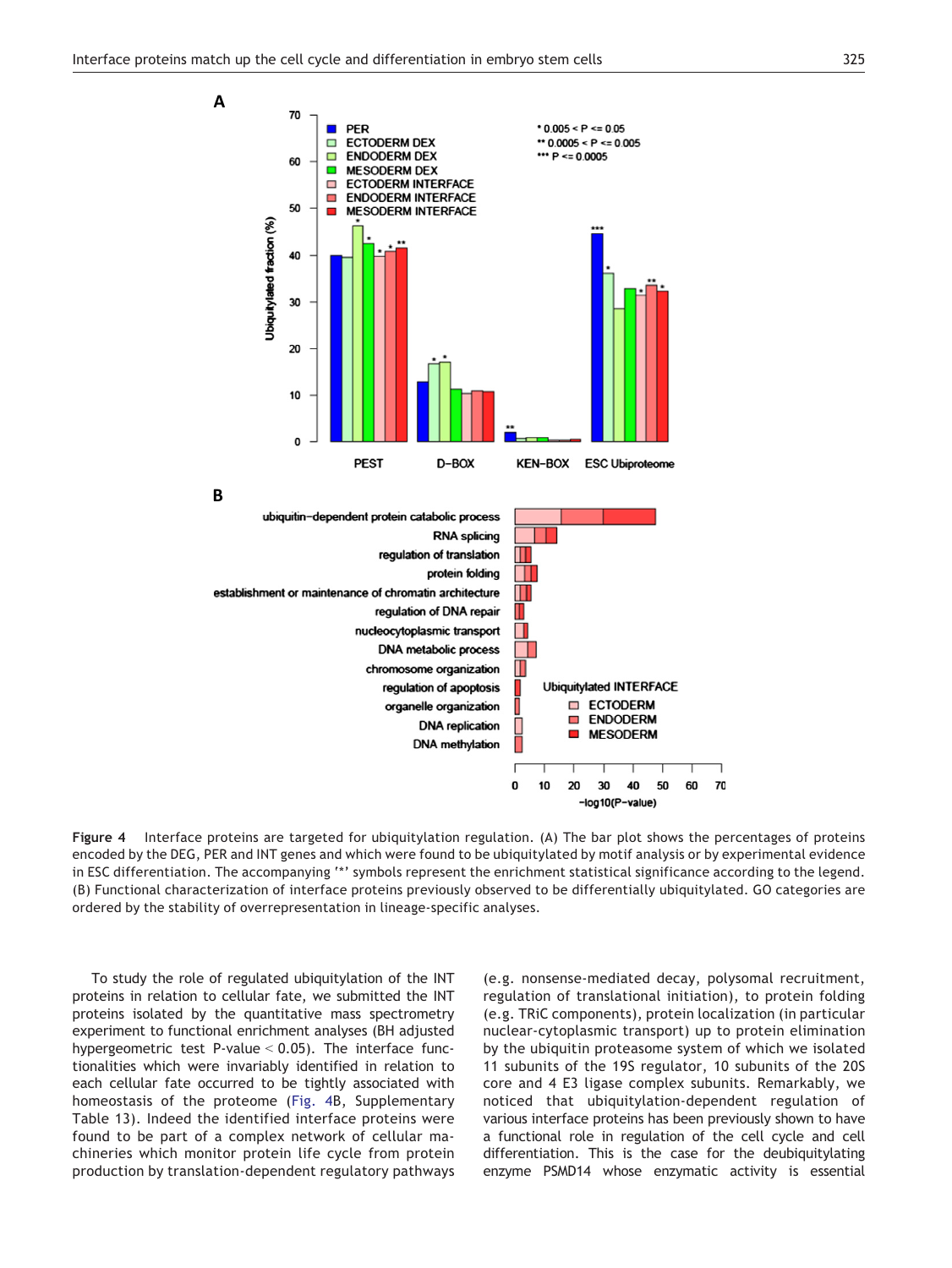<span id="page-10-0"></span>

Figure 4 Interface proteins are targeted for ubiquitylation regulation. (A) The bar plot shows the percentages of proteins encoded by the DEG, PER and INT genes and which were found to be ubiquitylated by motif analysis or by experimental evidence in ESC differentiation. The accompanying '\*' symbols represent the enrichment statistical significance according to the legend. (B) Functional characterization of interface proteins previously observed to be differentially ubiquitylated. GO categories are ordered by the stability of overrepresentation in lineage-specific analyses.

To study the role of regulated ubiquitylation of the INT proteins in relation to cellular fate, we submitted the INT proteins isolated by the quantitative mass spectrometry experiment to functional enrichment analyses (BH adjusted hypergeometric test P-value  $< 0.05$ ). The interface functionalities which were invariably identified in relation to each cellular fate occurred to be tightly associated with homeostasis of the proteome (Fig. 4B, Supplementary Table 13). Indeed the identified interface proteins were found to be part of a complex network of cellular machineries which monitor protein life cycle from protein production by translation-dependent regulatory pathways (e.g. nonsense-mediated decay, polysomal recruitment, regulation of translational initiation), to protein folding (e.g. TRiC components), protein localization (in particular nuclear-cytoplasmic transport) up to protein elimination by the ubiquitin proteasome system of which we isolated 11 subunits of the 19S regulator, 10 subunits of the 20S core and 4 E3 ligase complex subunits. Remarkably, we noticed that ubiquitylation-dependent regulation of various interface proteins has been previously shown to have a functional role in regulation of the cell cycle and cell differentiation. This is the case for the deubiquitylating enzyme PSMD14 whose enzymatic activity is essential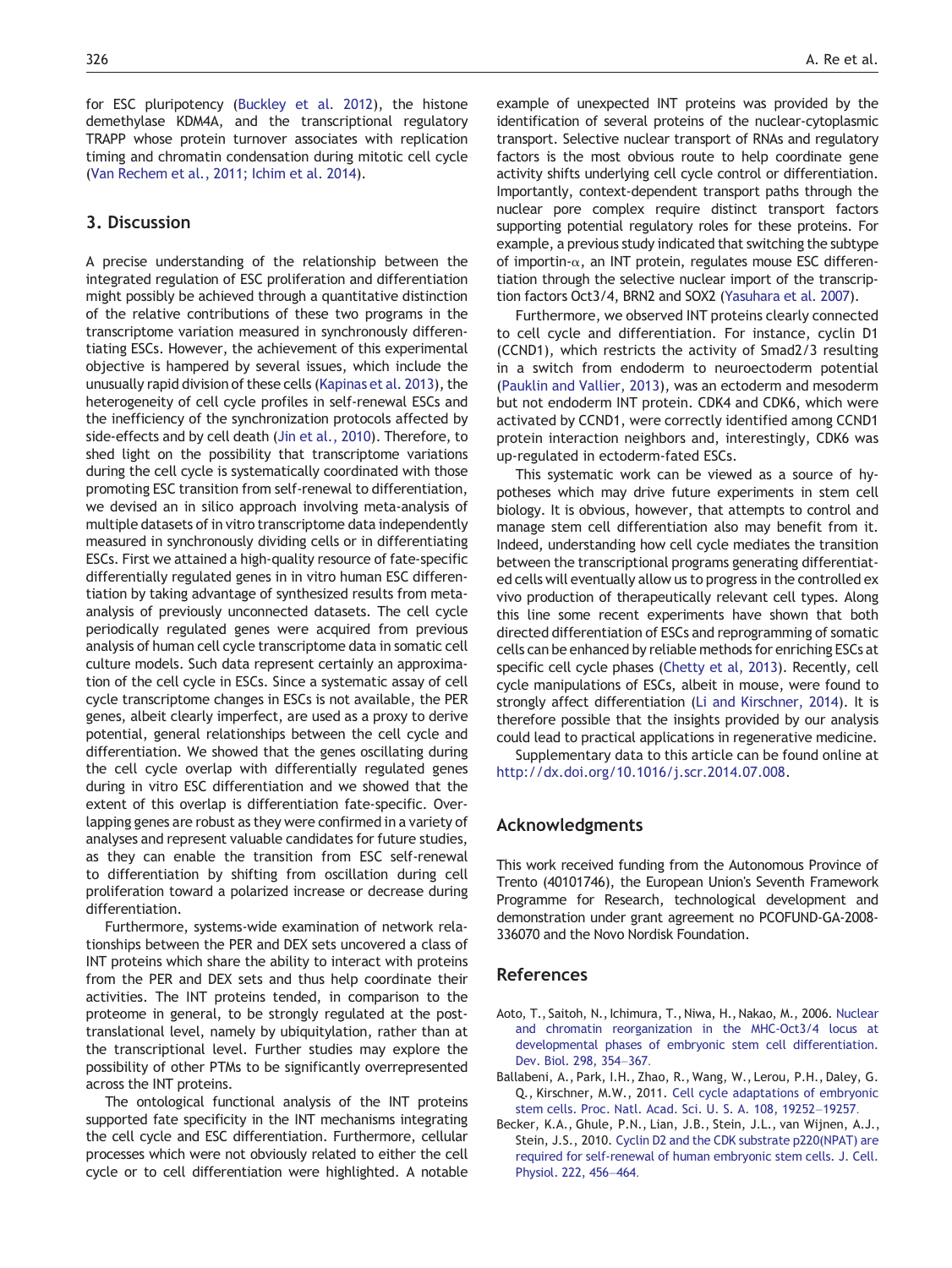<span id="page-11-0"></span>for ESC pluripotency [\(Buckley et al. 2012](#page-12-0)), the histone demethylase KDM4A, and the transcriptional regulatory TRAPP whose protein turnover associates with replication timing and chromatin condensation during mitotic cell cycle [\(Van Rechem et al., 2011; Ichim et al. 2014\)](#page-13-0).

### 3. Discussion

A precise understanding of the relationship between the integrated regulation of ESC proliferation and differentiation might possibly be achieved through a quantitative distinction of the relative contributions of these two programs in the transcriptome variation measured in synchronously differentiating ESCs. However, the achievement of this experimental objective is hampered by several issues, which include the unusually rapid division of these cells [\(Kapinas et al. 2013\)](#page-12-0), the heterogeneity of cell cycle profiles in self-renewal ESCs and the inefficiency of the synchronization protocols affected by side-effects and by cell death ([Jin et al., 2010\)](#page-12-0). Therefore, to shed light on the possibility that transcriptome variations during the cell cycle is systematically coordinated with those promoting ESC transition from self-renewal to differentiation, we devised an in silico approach involving meta-analysis of multiple datasets of in vitro transcriptome data independently measured in synchronously dividing cells or in differentiating ESCs. First we attained a high-quality resource of fate-specific differentially regulated genes in in vitro human ESC differentiation by taking advantage of synthesized results from metaanalysis of previously unconnected datasets. The cell cycle periodically regulated genes were acquired from previous analysis of human cell cycle transcriptome data in somatic cell culture models. Such data represent certainly an approximation of the cell cycle in ESCs. Since a systematic assay of cell cycle transcriptome changes in ESCs is not available, the PER genes, albeit clearly imperfect, are used as a proxy to derive potential, general relationships between the cell cycle and differentiation. We showed that the genes oscillating during the cell cycle overlap with differentially regulated genes during in vitro ESC differentiation and we showed that the extent of this overlap is differentiation fate-specific. Overlapping genes are robust as they were confirmed in a variety of analyses and represent valuable candidates for future studies, as they can enable the transition from ESC self-renewal to differentiation by shifting from oscillation during cell proliferation toward a polarized increase or decrease during differentiation.

Furthermore, systems-wide examination of network relationships between the PER and DEX sets uncovered a class of INT proteins which share the ability to interact with proteins from the PER and DEX sets and thus help coordinate their activities. The INT proteins tended, in comparison to the proteome in general, to be strongly regulated at the posttranslational level, namely by ubiquitylation, rather than at the transcriptional level. Further studies may explore the possibility of other PTMs to be significantly overrepresented across the INT proteins.

The ontological functional analysis of the INT proteins supported fate specificity in the INT mechanisms integrating the cell cycle and ESC differentiation. Furthermore, cellular processes which were not obviously related to either the cell cycle or to cell differentiation were highlighted. A notable example of unexpected INT proteins was provided by the identification of several proteins of the nuclear-cytoplasmic transport. Selective nuclear transport of RNAs and regulatory factors is the most obvious route to help coordinate gene activity shifts underlying cell cycle control or differentiation. Importantly, context-dependent transport paths through the nuclear pore complex require distinct transport factors supporting potential regulatory roles for these proteins. For example, a previous study indicated that switching the subtype of importin- $\alpha$ , an INT protein, regulates mouse ESC differentiation through the selective nuclear import of the transcription factors Oct3/4, BRN2 and SOX2 ([Yasuhara et al. 2007\)](#page-13-0).

Furthermore, we observed INT proteins clearly connected to cell cycle and differentiation. For instance, cyclin D1 (CCND1), which restricts the activity of Smad2/3 resulting in a switch from endoderm to neuroectoderm potential [\(Pauklin and Vallier, 2013\)](#page-12-0), was an ectoderm and mesoderm but not endoderm INT protein. CDK4 and CDK6, which were activated by CCND1, were correctly identified among CCND1 protein interaction neighbors and, interestingly, CDK6 was up-regulated in ectoderm-fated ESCs.

This systematic work can be viewed as a source of hypotheses which may drive future experiments in stem cell biology. It is obvious, however, that attempts to control and manage stem cell differentiation also may benefit from it. Indeed, understanding how cell cycle mediates the transition between the transcriptional programs generating differentiated cells will eventually allow us to progress in the controlled ex vivo production of therapeutically relevant cell types. Along this line some recent experiments have shown that both directed differentiation of ESCs and reprogramming of somatic cells can be enhanced by reliable methods for enriching ESCs at specific cell cycle phases [\(Chetty et al, 2013\)](#page-12-0). Recently, cell cycle manipulations of ESCs, albeit in mouse, were found to strongly affect differentiation ([Li and Kirschner, 2014\)](#page-12-0). It is therefore possible that the insights provided by our analysis could lead to practical applications in regenerative medicine.

Supplementary data to this article can be found online at [http://dx.doi.org/10.1016/j.scr.2014.07.008.](http://dx.doi.org/10.1016/j.scr.2014.07.008)

#### Acknowledgments

This work received funding from the Autonomous Province of Trento (40101746), the European Union's Seventh Framework Programme for Research, technological development and demonstration under grant agreement no PCOFUND-GA-2008- 336070 and the Novo Nordisk Foundation.

#### References

- Aoto, T., Saitoh, N., Ichimura, T., Niwa, H., Nakao, M., 2006. [Nuclear](http://refhub.elsevier.com/S1873-5061(14)00089-0/rf0005) [and chromatin reorganization in the MHC-Oct3/4 locus at](http://refhub.elsevier.com/S1873-5061(14)00089-0/rf0005) [developmental phases of embryonic stem cell differentiation.](http://refhub.elsevier.com/S1873-5061(14)00089-0/rf0005) [Dev. Biol. 298, 354](http://refhub.elsevier.com/S1873-5061(14)00089-0/rf0005)–367.
- Ballabeni, A., Park, I.H., Zhao, R., Wang, W., Lerou, P.H., Daley, G. Q., Kirschner, M.W., 2011. [Cell cycle adaptations of embryonic](http://refhub.elsevier.com/S1873-5061(14)00089-0/rf0010) [stem cells. Proc. Natl. Acad. Sci. U. S. A. 108, 19252](http://refhub.elsevier.com/S1873-5061(14)00089-0/rf0010)–19257.
- Becker, K.A., Ghule, P.N., Lian, J.B., Stein, J.L., van Wijnen, A.J., Stein, J.S., 2010. [Cyclin D2 and the CDK substrate p220\(NPAT\) are](http://refhub.elsevier.com/S1873-5061(14)00089-0/rf0015) [required for self-renewal of human embryonic stem cells. J. Cell.](http://refhub.elsevier.com/S1873-5061(14)00089-0/rf0015) [Physiol. 222, 456](http://refhub.elsevier.com/S1873-5061(14)00089-0/rf0015)–464.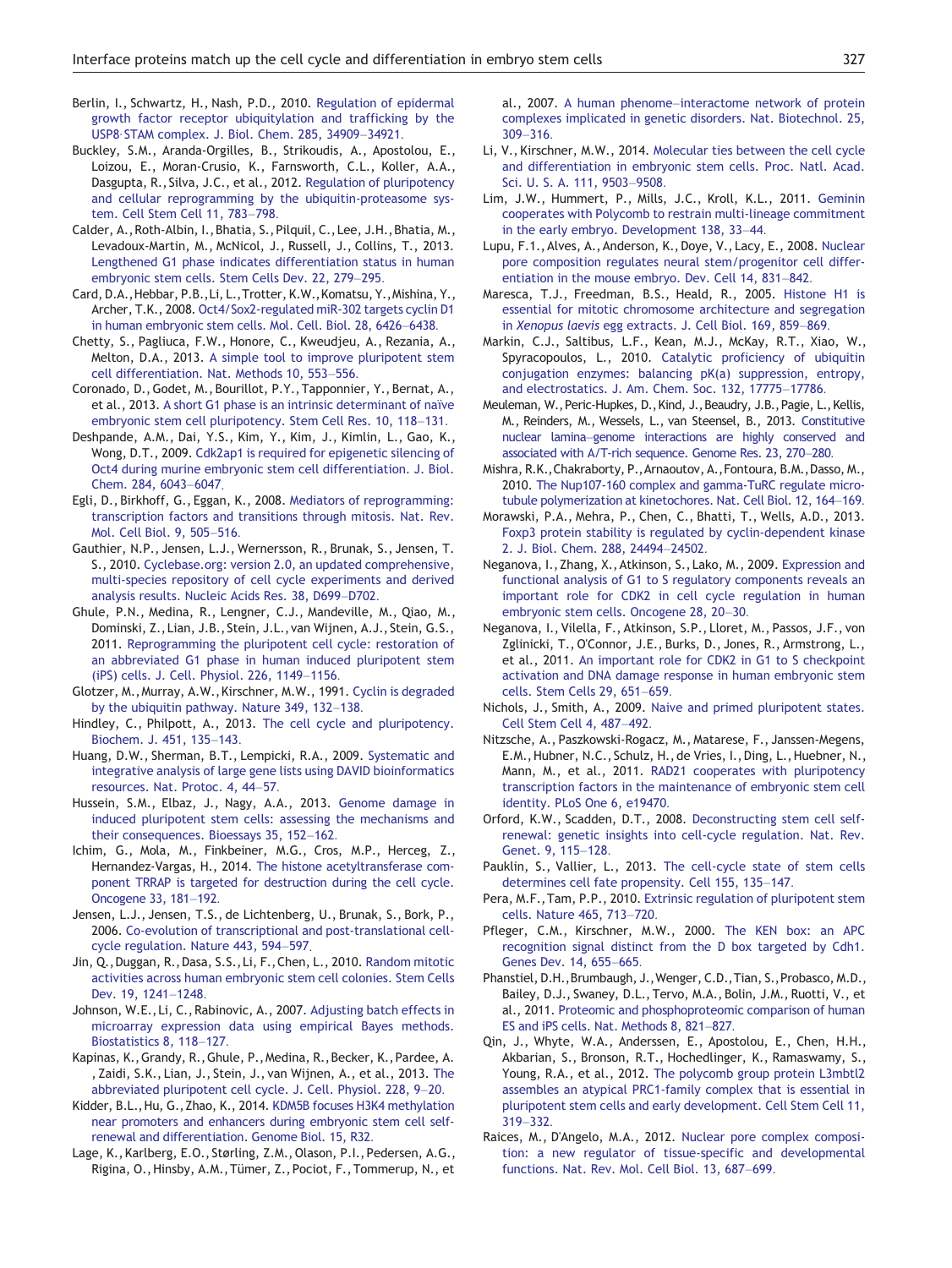- <span id="page-12-0"></span>Berlin, I., Schwartz, H., Nash, P.D., 2010. [Regulation of epidermal](http://refhub.elsevier.com/S1873-5061(14)00089-0/rf0020) [growth factor receptor ubiquitylation and trafficking by the](http://refhub.elsevier.com/S1873-5061(14)00089-0/rf0020) [USP8·STAM complex. J. Biol. Chem. 285, 34909](http://refhub.elsevier.com/S1873-5061(14)00089-0/rf0020)–34921.
- Buckley, S.M., Aranda-Orgilles, B., Strikoudis, A., Apostolou, E., Loizou, E., Moran-Crusio, K., Farnsworth, C.L., Koller, A.A., Dasgupta, R., Silva, J.C., et al., 2012. [Regulation of pluripotency](http://refhub.elsevier.com/S1873-5061(14)00089-0/rf0025) [and cellular reprogramming by the ubiquitin-proteasome sys](http://refhub.elsevier.com/S1873-5061(14)00089-0/rf0025)[tem. Cell Stem Cell 11, 783](http://refhub.elsevier.com/S1873-5061(14)00089-0/rf0025)–798.
- Calder, A.,Roth-Albin, I.,Bhatia, S.,Pilquil, C., Lee, J.H.,Bhatia, M., Levadoux-Martin, M., McNicol, J., Russell, J., Collins, T., 2013. [Lengthened G1 phase indicates differentiation status in human](http://refhub.elsevier.com/S1873-5061(14)00089-0/rf0030) [embryonic stem cells. Stem Cells Dev. 22, 279](http://refhub.elsevier.com/S1873-5061(14)00089-0/rf0030)–295.
- Card, D.A., Hebbar, P.B., Li, L., Trotter, K.W., Komatsu, Y., Mishina, Y., Archer, T.K., 2008. [Oct4/Sox2-regulated miR-302 targets cyclin D1](http://refhub.elsevier.com/S1873-5061(14)00089-0/rf0035) [in human embryonic stem cells. Mol. Cell. Biol. 28, 6426](http://refhub.elsevier.com/S1873-5061(14)00089-0/rf0035)–6438.
- Chetty, S., Pagliuca, F.W., Honore, C., Kweudjeu, A., Rezania, A., Melton, D.A., 2013. [A simple tool to improve pluripotent stem](http://refhub.elsevier.com/S1873-5061(14)00089-0/rf0040) [cell differentiation. Nat. Methods 10, 553](http://refhub.elsevier.com/S1873-5061(14)00089-0/rf0040)–556.
- Coronado, D., Godet, M., Bourillot, P.Y., Tapponnier, Y., Bernat, A., et al., 2013. [A short G1 phase is an intrinsic determinant of naïve](http://refhub.elsevier.com/S1873-5061(14)00089-0/rf0045) [embryonic stem cell pluripotency. Stem Cell Res. 10, 118](http://refhub.elsevier.com/S1873-5061(14)00089-0/rf0045)–131.
- Deshpande, A.M., Dai, Y.S., Kim, Y., Kim, J., Kimlin, L., Gao, K., Wong, D.T., 2009. [Cdk2ap1 is required for epigenetic silencing of](http://refhub.elsevier.com/S1873-5061(14)00089-0/rf0050) [Oct4 during murine embryonic stem cell differentiation. J. Biol.](http://refhub.elsevier.com/S1873-5061(14)00089-0/rf0050) [Chem. 284, 6043](http://refhub.elsevier.com/S1873-5061(14)00089-0/rf0050)–6047.
- Egli, D., Birkhoff, G., Eggan, K., 2008. [Mediators of reprogramming:](http://refhub.elsevier.com/S1873-5061(14)00089-0/rf0055) [transcription factors and transitions through mitosis. Nat. Rev.](http://refhub.elsevier.com/S1873-5061(14)00089-0/rf0055) [Mol. Cell Biol. 9, 505](http://refhub.elsevier.com/S1873-5061(14)00089-0/rf0055)–516.
- Gauthier, N.P., Jensen, L.J., Wernersson, R., Brunak, S., Jensen, T. S., 2010. [Cyclebase.org: version 2.0, an updated comprehensive,](http://refhub.elsevier.com/S1873-5061(14)00089-0/rf0060) [multi-species repository of cell cycle experiments and derived](http://refhub.elsevier.com/S1873-5061(14)00089-0/rf0060) [analysis results. Nucleic Acids Res. 38, D699](http://refhub.elsevier.com/S1873-5061(14)00089-0/rf0060)–D702.
- Ghule, P.N., Medina, R., Lengner, C.J., Mandeville, M., Qiao, M., Dominski, Z., Lian, J.B.,Stein, J.L.,van Wijnen, A.J.,Stein, G.S., 2011. [Reprogramming the pluripotent cell cycle: restoration of](http://refhub.elsevier.com/S1873-5061(14)00089-0/rf0065) [an abbreviated G1 phase in human induced pluripotent stem](http://refhub.elsevier.com/S1873-5061(14)00089-0/rf0065) [\(iPS\) cells. J. Cell. Physiol. 226, 1149](http://refhub.elsevier.com/S1873-5061(14)00089-0/rf0065)–1156.
- Glotzer, M.,Murray, A.W.,Kirschner, M.W., 1991. [Cyclin is degraded](http://refhub.elsevier.com/S1873-5061(14)00089-0/rf0070) [by the ubiquitin pathway. Nature 349, 132](http://refhub.elsevier.com/S1873-5061(14)00089-0/rf0070)–138.
- Hindley, C., Philpott, A., 2013. [The cell cycle and pluripotency.](http://refhub.elsevier.com/S1873-5061(14)00089-0/rf0075) [Biochem. J. 451, 135](http://refhub.elsevier.com/S1873-5061(14)00089-0/rf0075)–143.
- Huang, D.W., Sherman, B.T., Lempicki, R.A., 2009. [Systematic and](http://refhub.elsevier.com/S1873-5061(14)00089-0/rf0080) [integrative analysis of large gene lists using DAVID bioinformatics](http://refhub.elsevier.com/S1873-5061(14)00089-0/rf0080) [resources. Nat. Protoc. 4, 44](http://refhub.elsevier.com/S1873-5061(14)00089-0/rf0080)–57.
- Hussein, S.M., Elbaz, J., Nagy, A.A., 2013. [Genome damage in](http://refhub.elsevier.com/S1873-5061(14)00089-0/rf0085) [induced pluripotent stem cells: assessing the mechanisms and](http://refhub.elsevier.com/S1873-5061(14)00089-0/rf0085) [their consequences. Bioessays 35, 152](http://refhub.elsevier.com/S1873-5061(14)00089-0/rf0085)–162.
- Ichim, G., Mola, M., Finkbeiner, M.G., Cros, M.P., Herceg, Z., Hernandez-Vargas, H., 2014. [The histone acetyltransferase com](http://refhub.elsevier.com/S1873-5061(14)00089-0/rf0090)[ponent TRRAP is targeted for destruction during the cell cycle.](http://refhub.elsevier.com/S1873-5061(14)00089-0/rf0090) [Oncogene 33, 181](http://refhub.elsevier.com/S1873-5061(14)00089-0/rf0090)–192.
- Jensen, L.J., Jensen, T.S., de Lichtenberg, U., Brunak, S., Bork, P., 2006. [Co-evolution of transcriptional and post-translational cell](http://refhub.elsevier.com/S1873-5061(14)00089-0/rf0100)[cycle regulation. Nature 443, 594](http://refhub.elsevier.com/S1873-5061(14)00089-0/rf0100)–597.
- Jin, Q.,Duggan, R.,Dasa, S.S., Li, F.,Chen, L., 2010. [Random mitotic](http://refhub.elsevier.com/S1873-5061(14)00089-0/rf0095) [activities across human embryonic stem cell colonies. Stem Cells](http://refhub.elsevier.com/S1873-5061(14)00089-0/rf0095) [Dev. 19, 1241](http://refhub.elsevier.com/S1873-5061(14)00089-0/rf0095)–1248.
- Johnson, W.E., Li, C., Rabinovic, A., 2007. [Adjusting batch effects in](http://refhub.elsevier.com/S1873-5061(14)00089-0/rf0105) [microarray expression data using empirical Bayes methods.](http://refhub.elsevier.com/S1873-5061(14)00089-0/rf0105) [Biostatistics 8, 118](http://refhub.elsevier.com/S1873-5061(14)00089-0/rf0105)–127.
- Kapinas, K.,Grandy, R.,Ghule, P.,Medina, R.,Becker, K., Pardee, A. , Zaidi, S.K., Lian, J., Stein, J., van Wijnen, A., et al., 2013. [The](http://refhub.elsevier.com/S1873-5061(14)00089-0/rf0110) [abbreviated pluripotent cell cycle. J. Cell. Physiol. 228, 9](http://refhub.elsevier.com/S1873-5061(14)00089-0/rf0110)–20.
- Kidder, B.L.,Hu, G.,Zhao, K., 2014. [KDM5B focuses H3K4 methylation](http://refhub.elsevier.com/S1873-5061(14)00089-0/rf0115) [near promoters and enhancers during embryonic stem cell self](http://refhub.elsevier.com/S1873-5061(14)00089-0/rf0115)[renewal and differentiation. Genome Biol. 15, R32.](http://refhub.elsevier.com/S1873-5061(14)00089-0/rf0115)
- Lage, K., Karlberg, E.O., Størling, Z.M., Olason, P.I., Pedersen, A.G., Rigina, O., Hinsby, A.M., Tümer, Z., Pociot, F., Tommerup, N., et

al., 2007. A human phenome–[interactome network of protein](http://refhub.elsevier.com/S1873-5061(14)00089-0/rf0120) [complexes implicated in genetic disorders. Nat. Biotechnol. 25,](http://refhub.elsevier.com/S1873-5061(14)00089-0/rf0120) [309](http://refhub.elsevier.com/S1873-5061(14)00089-0/rf0120)–316.

- Li, V., Kirschner, M.W., 2014. [Molecular ties between the cell cycle](http://refhub.elsevier.com/S1873-5061(14)00089-0/rf0125) [and differentiation in embryonic stem cells. Proc. Natl. Acad.](http://refhub.elsevier.com/S1873-5061(14)00089-0/rf0125) [Sci. U. S. A. 111, 9503](http://refhub.elsevier.com/S1873-5061(14)00089-0/rf0125)–9508.
- Lim, J.W., Hummert, P., Mills, J.C., Kroll, K.L., 2011. [Geminin](http://refhub.elsevier.com/S1873-5061(14)00089-0/rf0130) [cooperates with Polycomb to restrain multi-lineage commitment](http://refhub.elsevier.com/S1873-5061(14)00089-0/rf0130) [in the early embryo. Development 138, 33](http://refhub.elsevier.com/S1873-5061(14)00089-0/rf0130)–44.
- Lupu, F.1., Alves, A., Anderson, K., Doye, V., Lacy, E., 2008. [Nuclear](http://refhub.elsevier.com/S1873-5061(14)00089-0/rf0135) [pore composition regulates neural stem/progenitor cell differ](http://refhub.elsevier.com/S1873-5061(14)00089-0/rf0135)[entiation in the mouse embryo. Dev. Cell 14, 831](http://refhub.elsevier.com/S1873-5061(14)00089-0/rf0135)–842.
- Maresca, T.J., Freedman, B.S., Heald, R., 2005. [Histone H1 is](http://refhub.elsevier.com/S1873-5061(14)00089-0/rf0140) [essential for mitotic chromosome architecture and segregation](http://refhub.elsevier.com/S1873-5061(14)00089-0/rf0140) in Xenopus laevis [egg extracts. J. Cell Biol. 169, 859](http://refhub.elsevier.com/S1873-5061(14)00089-0/rf0140)–869.
- Markin, C.J., Saltibus, L.F., Kean, M.J., McKay, R.T., Xiao, W., Spyracopoulos, L., 2010. [Catalytic proficiency of ubiquitin](http://refhub.elsevier.com/S1873-5061(14)00089-0/rf0145) [conjugation enzymes: balancing pK\(a\) suppression, entropy,](http://refhub.elsevier.com/S1873-5061(14)00089-0/rf0145) [and electrostatics. J. Am. Chem. Soc. 132, 17775](http://refhub.elsevier.com/S1873-5061(14)00089-0/rf0145)–17786.
- Meuleman, W., Peric-Hupkes, D., Kind, J., Beaudry, J.B., Pagie, L., Kellis, M., Reinders, M., Wessels, L., van Steensel, B., 2013. [Constitutive](http://refhub.elsevier.com/S1873-5061(14)00089-0/rf0150) nuclear lamina–[genome interactions are highly conserved and](http://refhub.elsevier.com/S1873-5061(14)00089-0/rf0150) [associated with A/T-rich sequence. Genome Res. 23, 270](http://refhub.elsevier.com/S1873-5061(14)00089-0/rf0150)–280.
- Mishra, R.K.,Chakraborty, P.,Arnaoutov, A.,Fontoura, B.M.,Dasso, M., 2010. [The Nup107-160 complex and gamma-TuRC regulate micro](http://refhub.elsevier.com/S1873-5061(14)00089-0/rf0155)[tubule polymerization at kinetochores. Nat. Cell Biol. 12, 164](http://refhub.elsevier.com/S1873-5061(14)00089-0/rf0155)–169.
- Morawski, P.A., Mehra, P., Chen, C., Bhatti, T., Wells, A.D., 2013. [Foxp3 protein stability is regulated by cyclin-dependent kinase](http://refhub.elsevier.com/S1873-5061(14)00089-0/rf0160) [2. J. Biol. Chem. 288, 24494](http://refhub.elsevier.com/S1873-5061(14)00089-0/rf0160)–24502.
- Neganova, I., Zhang, X., Atkinson, S., Lako, M., 2009. [Expression and](http://refhub.elsevier.com/S1873-5061(14)00089-0/rf0165) [functional analysis of G1 to S regulatory components reveals an](http://refhub.elsevier.com/S1873-5061(14)00089-0/rf0165) [important role for CDK2 in cell cycle regulation in human](http://refhub.elsevier.com/S1873-5061(14)00089-0/rf0165) [embryonic stem cells. Oncogene 28, 20](http://refhub.elsevier.com/S1873-5061(14)00089-0/rf0165)–30.
- Neganova, I., Vilella, F., Atkinson, S.P., Lloret, M., Passos, J.F., von Zglinicki, T., O'Connor, J.E., Burks, D., Jones, R., Armstrong, L., et al., 2011. [An important role for CDK2 in G1 to S checkpoint](http://refhub.elsevier.com/S1873-5061(14)00089-0/rf0170) [activation and DNA damage response in human embryonic stem](http://refhub.elsevier.com/S1873-5061(14)00089-0/rf0170) [cells. Stem Cells 29, 651](http://refhub.elsevier.com/S1873-5061(14)00089-0/rf0170)–659.
- Nichols, J., Smith, A., 2009. [Naive and primed pluripotent states.](http://refhub.elsevier.com/S1873-5061(14)00089-0/rf0175) [Cell Stem Cell 4, 487](http://refhub.elsevier.com/S1873-5061(14)00089-0/rf0175)–492.
- Nitzsche, A., Paszkowski-Rogacz, M., Matarese, F., Janssen-Megens, E.M., Hubner, N.C., Schulz, H., de Vries, I., Ding, L., Huebner, N., Mann, M., et al., 2011. [RAD21 cooperates with pluripotency](http://refhub.elsevier.com/S1873-5061(14)00089-0/rf0180) [transcription factors in the maintenance of embryonic stem cell](http://refhub.elsevier.com/S1873-5061(14)00089-0/rf0180) [identity. PLoS One 6, e19470](http://refhub.elsevier.com/S1873-5061(14)00089-0/rf0180).
- Orford, K.W., Scadden, D.T., 2008. [Deconstructing stem cell self](http://refhub.elsevier.com/S1873-5061(14)00089-0/rf0185)[renewal: genetic insights into cell-cycle regulation. Nat. Rev.](http://refhub.elsevier.com/S1873-5061(14)00089-0/rf0185) [Genet. 9, 115](http://refhub.elsevier.com/S1873-5061(14)00089-0/rf0185)–128.
- Pauklin, S., Vallier, L., 2013. [The cell-cycle state of stem cells](http://refhub.elsevier.com/S1873-5061(14)00089-0/rf0190) [determines cell fate propensity. Cell 155, 135](http://refhub.elsevier.com/S1873-5061(14)00089-0/rf0190)–147.
- Pera, M.F.,Tam, P.P., 2010. [Extrinsic regulation of pluripotent stem](http://refhub.elsevier.com/S1873-5061(14)00089-0/rf0195) [cells. Nature 465, 713](http://refhub.elsevier.com/S1873-5061(14)00089-0/rf0195)–720.
- Pfleger, C.M., Kirschner, M.W., 2000. [The KEN box: an APC](http://refhub.elsevier.com/S1873-5061(14)00089-0/rf0200) [recognition signal distinct from the D box targeted by Cdh1.](http://refhub.elsevier.com/S1873-5061(14)00089-0/rf0200) [Genes Dev. 14, 655](http://refhub.elsevier.com/S1873-5061(14)00089-0/rf0200)–665.
- Phanstiel, D.H., Brumbaugh, J., Wenger, C.D., Tian, S., Probasco, M.D., Bailey, D.J., Swaney, D.L., Tervo, M.A., Bolin, J.M., Ruotti, V., et al., 2011. [Proteomic and phosphoproteomic comparison of human](http://refhub.elsevier.com/S1873-5061(14)00089-0/rf0205) [ES and iPS cells. Nat. Methods 8, 821](http://refhub.elsevier.com/S1873-5061(14)00089-0/rf0205)–827.
- Qin, J., Whyte, W.A., Anderssen, E., Apostolou, E., Chen, H.H., Akbarian, S., Bronson, R.T., Hochedlinger, K., Ramaswamy, S., Young, R.A., et al., 2012. [The polycomb group protein L3mbtl2](http://refhub.elsevier.com/S1873-5061(14)00089-0/rf0210) [assembles an atypical PRC1-family complex that is essential in](http://refhub.elsevier.com/S1873-5061(14)00089-0/rf0210) [pluripotent stem cells and early development. Cell Stem Cell 11,](http://refhub.elsevier.com/S1873-5061(14)00089-0/rf0210) [319](http://refhub.elsevier.com/S1873-5061(14)00089-0/rf0210)–332.
- Raices, M., D'Angelo, M.A., 2012. [Nuclear pore complex composi](http://refhub.elsevier.com/S1873-5061(14)00089-0/rf0215)[tion: a new regulator of tissue-specific and developmental](http://refhub.elsevier.com/S1873-5061(14)00089-0/rf0215) [functions. Nat. Rev. Mol. Cell Biol. 13, 687](http://refhub.elsevier.com/S1873-5061(14)00089-0/rf0215)–699.